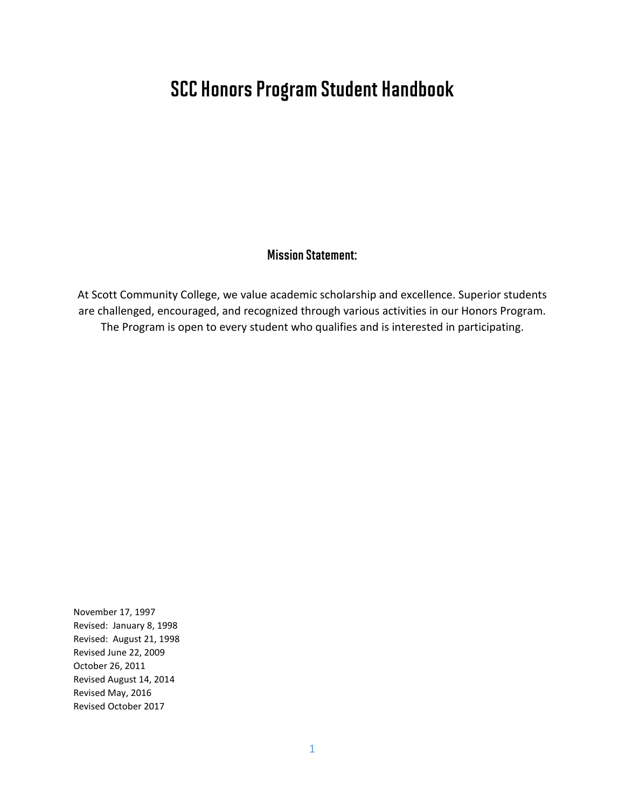### SCC Honors Program Student Handbook

### Mission Statement:

At Scott Community College, we value academic scholarship and excellence. Superior students are challenged, encouraged, and recognized through various activities in our Honors Program. The Program is open to every student who qualifies and is interested in participating.

November 17, 1997 Revised: January 8, 1998 Revised: August 21, 1998 Revised June 22, 2009 October 26, 2011 Revised August 14, 2014 Revised May, 2016 Revised October 2017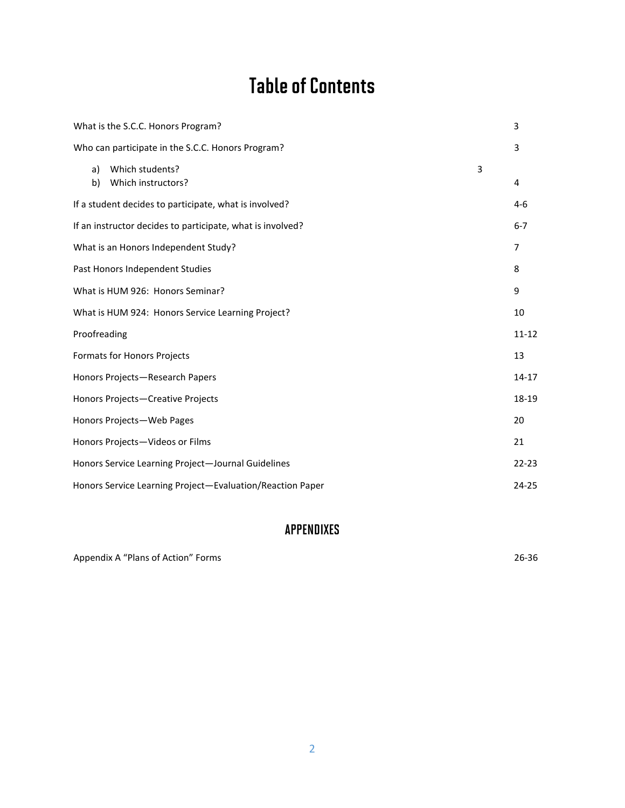# Table of Contents

| 3<br>What is the S.C.C. Honors Program?                    |                                                        |                                                   |   |           |  |
|------------------------------------------------------------|--------------------------------------------------------|---------------------------------------------------|---|-----------|--|
|                                                            |                                                        | Who can participate in the S.C.C. Honors Program? |   | 3         |  |
|                                                            | a)<br>b)                                               | Which students?<br>Which instructors?             | 3 | 4         |  |
|                                                            | If a student decides to participate, what is involved? |                                                   |   |           |  |
| If an instructor decides to participate, what is involved? |                                                        |                                                   |   |           |  |
| What is an Honors Independent Study?                       |                                                        |                                                   |   |           |  |
| Past Honors Independent Studies                            |                                                        |                                                   |   |           |  |
| 9<br>What is HUM 926: Honors Seminar?                      |                                                        |                                                   |   |           |  |
| What is HUM 924: Honors Service Learning Project?          |                                                        |                                                   |   |           |  |
|                                                            | Proofreading                                           |                                                   |   | $11 - 12$ |  |
|                                                            |                                                        | Formats for Honors Projects                       |   | 13        |  |
| Honors Projects-Research Papers                            |                                                        |                                                   |   |           |  |
| Honors Projects-Creative Projects                          |                                                        |                                                   |   |           |  |
| Honors Projects-Web Pages                                  |                                                        |                                                   |   |           |  |
| Honors Projects-Videos or Films                            |                                                        |                                                   |   |           |  |
| Honors Service Learning Project-Journal Guidelines         |                                                        |                                                   |   |           |  |
| Honors Service Learning Project-Evaluation/Reaction Paper  |                                                        |                                                   |   |           |  |

### APPENDIXES

Appendix A "Plans of Action" Forms 26-36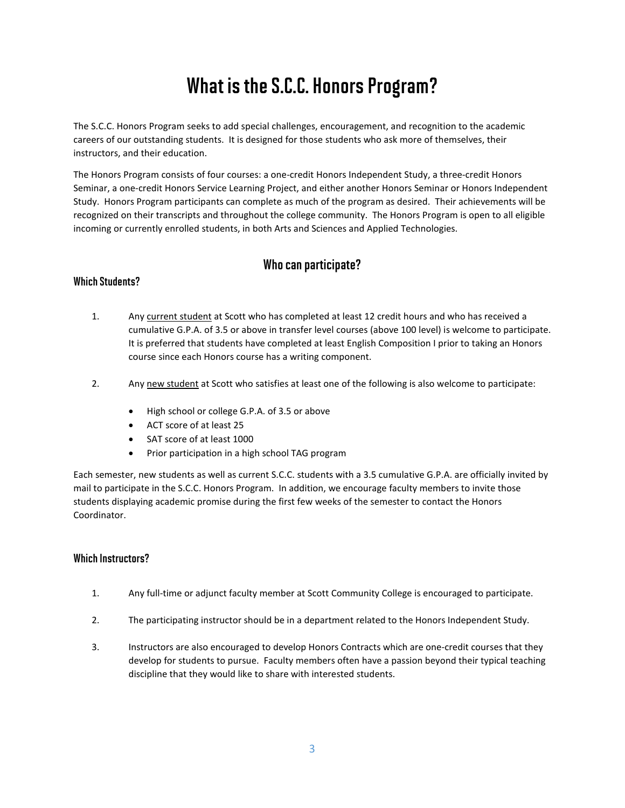# What is the S.C.C. Honors Program?

The S.C.C. Honors Program seeks to add special challenges, encouragement, and recognition to the academic careers of our outstanding students. It is designed for those students who ask more of themselves, their instructors, and their education.

The Honors Program consists of four courses: a one-credit Honors Independent Study, a three-credit Honors Seminar, a one-credit Honors Service Learning Project, and either another Honors Seminar or Honors Independent Study. Honors Program participants can complete as much of the program as desired. Their achievements will be recognized on their transcripts and throughout the college community. The Honors Program is open to all eligible incoming or currently enrolled students, in both Arts and Sciences and Applied Technologies.

### Who can participate?

#### Which Students?

- 1. Any current student at Scott who has completed at least 12 credit hours and who has received a cumulative G.P.A. of 3.5 or above in transfer level courses (above 100 level) is welcome to participate. It is preferred that students have completed at least English Composition I prior to taking an Honors course since each Honors course has a writing component.
- 2. Any new student at Scott who satisfies at least one of the following is also welcome to participate:
	- High school or college G.P.A. of 3.5 or above
	- ACT score of at least 25
	- SAT score of at least 1000
	- Prior participation in a high school TAG program

Each semester, new students as well as current S.C.C. students with a 3.5 cumulative G.P.A. are officially invited by mail to participate in the S.C.C. Honors Program. In addition, we encourage faculty members to invite those students displaying academic promise during the first few weeks of the semester to contact the Honors Coordinator.

#### Which Instructors?

- 1. Any full-time or adjunct faculty member at Scott Community College is encouraged to participate.
- 2. The participating instructor should be in a department related to the Honors Independent Study.
- 3. Instructors are also encouraged to develop Honors Contracts which are one-credit courses that they develop for students to pursue. Faculty members often have a passion beyond their typical teaching discipline that they would like to share with interested students.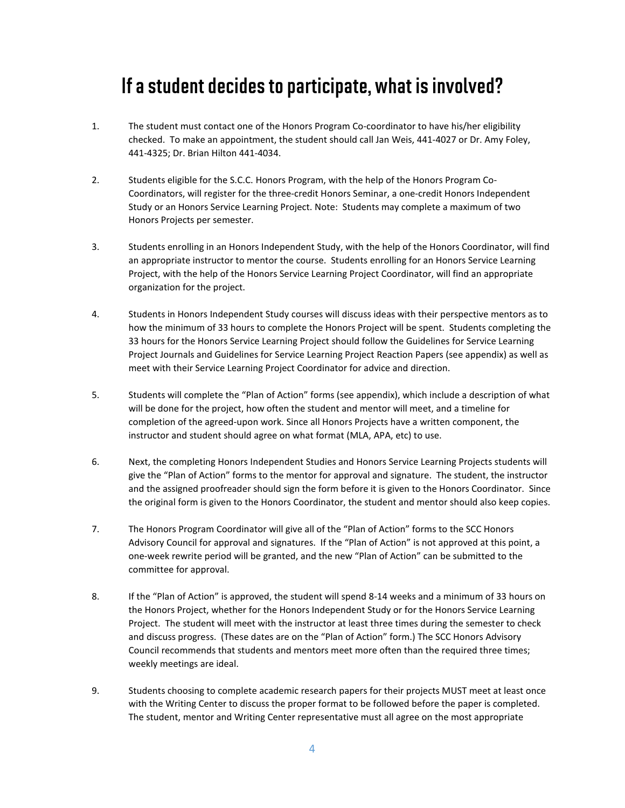### If a student decides to participate, what is involved?

- 1. The student must contact one of the Honors Program Co-coordinator to have his/her eligibility checked. To make an appointment, the student should call Jan Weis, 441-4027 or Dr. Amy Foley, 441-4325; Dr. Brian Hilton 441-4034.
- 2. Students eligible for the S.C.C. Honors Program, with the help of the Honors Program Co-Coordinators, will register for the three-credit Honors Seminar, a one-credit Honors Independent Study or an Honors Service Learning Project. Note: Students may complete a maximum of two Honors Projects per semester.
- 3. Students enrolling in an Honors Independent Study, with the help of the Honors Coordinator, will find an appropriate instructor to mentor the course. Students enrolling for an Honors Service Learning Project, with the help of the Honors Service Learning Project Coordinator, will find an appropriate organization for the project.
- 4. Students in Honors Independent Study courses will discuss ideas with their perspective mentors as to how the minimum of 33 hours to complete the Honors Project will be spent. Students completing the 33 hours for the Honors Service Learning Project should follow the Guidelines for Service Learning Project Journals and Guidelines for Service Learning Project Reaction Papers (see appendix) as well as meet with their Service Learning Project Coordinator for advice and direction.
- 5. Students will complete the "Plan of Action" forms (see appendix), which include a description of what will be done for the project, how often the student and mentor will meet, and a timeline for completion of the agreed-upon work. Since all Honors Projects have a written component, the instructor and student should agree on what format (MLA, APA, etc) to use.
- 6. Next, the completing Honors Independent Studies and Honors Service Learning Projects students will give the "Plan of Action" forms to the mentor for approval and signature. The student, the instructor and the assigned proofreader should sign the form before it is given to the Honors Coordinator. Since the original form is given to the Honors Coordinator, the student and mentor should also keep copies.
- 7. The Honors Program Coordinator will give all of the "Plan of Action" forms to the SCC Honors Advisory Council for approval and signatures. If the "Plan of Action" is not approved at this point, a one-week rewrite period will be granted, and the new "Plan of Action" can be submitted to the committee for approval.
- 8. If the "Plan of Action" is approved, the student will spend 8-14 weeks and a minimum of 33 hours on the Honors Project, whether for the Honors Independent Study or for the Honors Service Learning Project. The student will meet with the instructor at least three times during the semester to check and discuss progress. (These dates are on the "Plan of Action" form.) The SCC Honors Advisory Council recommends that students and mentors meet more often than the required three times; weekly meetings are ideal.
- 9. Students choosing to complete academic research papers for their projects MUST meet at least once with the Writing Center to discuss the proper format to be followed before the paper is completed. The student, mentor and Writing Center representative must all agree on the most appropriate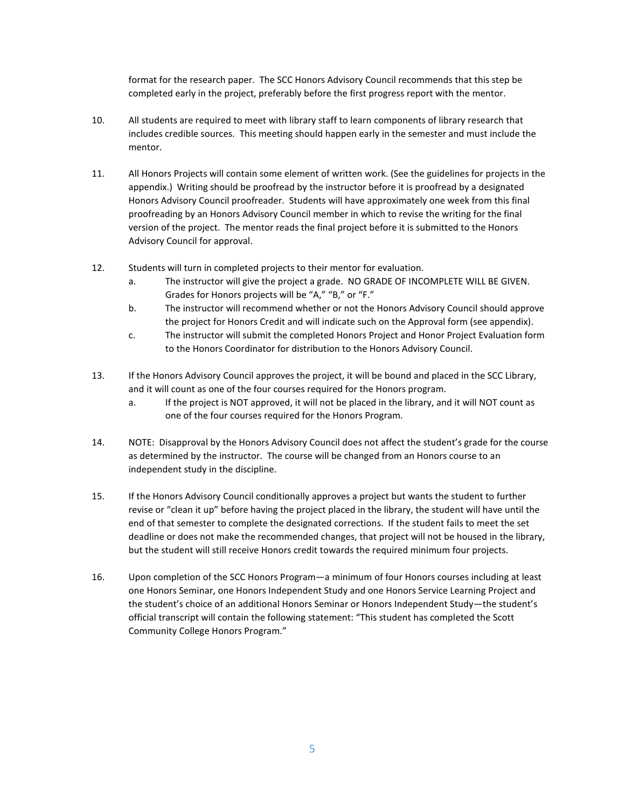format for the research paper. The SCC Honors Advisory Council recommends that this step be completed early in the project, preferably before the first progress report with the mentor.

- 10. All students are required to meet with library staff to learn components of library research that includes credible sources. This meeting should happen early in the semester and must include the mentor.
- 11. All Honors Projects will contain some element of written work. (See the guidelines for projects in the appendix.) Writing should be proofread by the instructor before it is proofread by a designated Honors Advisory Council proofreader. Students will have approximately one week from this final proofreading by an Honors Advisory Council member in which to revise the writing for the final version of the project. The mentor reads the final project before it is submitted to the Honors Advisory Council for approval.
- 12. Students will turn in completed projects to their mentor for evaluation.
	- a. The instructor will give the project a grade. NO GRADE OF INCOMPLETE WILL BE GIVEN. Grades for Honors projects will be "A," "B," or "F."
	- b. The instructor will recommend whether or not the Honors Advisory Council should approve the project for Honors Credit and will indicate such on the Approval form (see appendix).
	- c. The instructor will submit the completed Honors Project and Honor Project Evaluation form to the Honors Coordinator for distribution to the Honors Advisory Council.
- 13. If the Honors Advisory Council approves the project, it will be bound and placed in the SCC Library, and it will count as one of the four courses required for the Honors program.
	- a. If the project is NOT approved, it will not be placed in the library, and it will NOT count as one of the four courses required for the Honors Program.
- 14. NOTE: Disapproval by the Honors Advisory Council does not affect the student's grade for the course as determined by the instructor. The course will be changed from an Honors course to an independent study in the discipline.
- 15. If the Honors Advisory Council conditionally approves a project but wants the student to further revise or "clean it up" before having the project placed in the library, the student will have until the end of that semester to complete the designated corrections. If the student fails to meet the set deadline or does not make the recommended changes, that project will not be housed in the library, but the student will still receive Honors credit towards the required minimum four projects.
- 16. Upon completion of the SCC Honors Program—a minimum of four Honors courses including at least one Honors Seminar, one Honors Independent Study and one Honors Service Learning Project and the student's choice of an additional Honors Seminar or Honors Independent Study—the student's official transcript will contain the following statement: "This student has completed the Scott Community College Honors Program."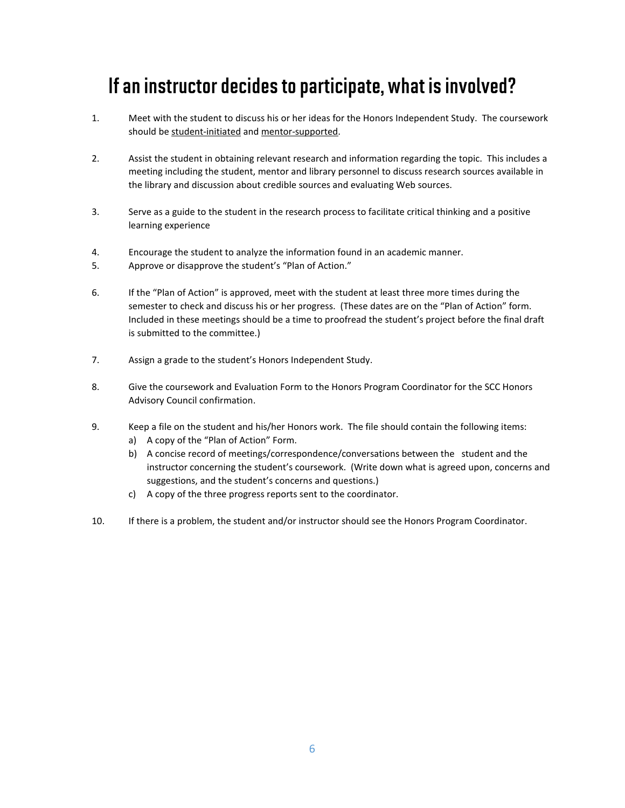# If an instructor decides to participate, what is involved?

- 1. Meet with the student to discuss his or her ideas for the Honors Independent Study. The coursework should be student-initiated and mentor-supported.
- 2. Assist the student in obtaining relevant research and information regarding the topic. This includes a meeting including the student, mentor and library personnel to discuss research sources available in the library and discussion about credible sources and evaluating Web sources.
- 3. Serve as a guide to the student in the research process to facilitate critical thinking and a positive learning experience
- 4. Encourage the student to analyze the information found in an academic manner.
- 5. Approve or disapprove the student's "Plan of Action."
- 6. If the "Plan of Action" is approved, meet with the student at least three more times during the semester to check and discuss his or her progress. (These dates are on the "Plan of Action" form. Included in these meetings should be a time to proofread the student's project before the final draft is submitted to the committee.)
- 7. Assign a grade to the student's Honors Independent Study.
- 8. Give the coursework and Evaluation Form to the Honors Program Coordinator for the SCC Honors Advisory Council confirmation.
- 9. Keep a file on the student and his/her Honors work. The file should contain the following items:
	- a) A copy of the "Plan of Action" Form.
	- b) A concise record of meetings/correspondence/conversations between the student and the instructor concerning the student's coursework. (Write down what is agreed upon, concerns and suggestions, and the student's concerns and questions.)
	- c) A copy of the three progress reports sent to the coordinator.
- 10. If there is a problem, the student and/or instructor should see the Honors Program Coordinator.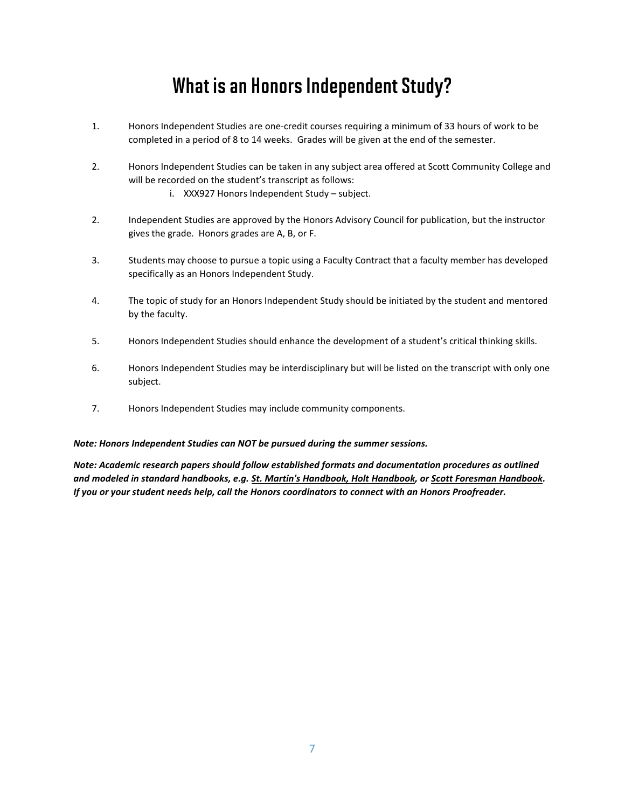## What is an Honors Independent Study?

- 1. Honors Independent Studies are one-credit courses requiring a minimum of 33 hours of work to be completed in a period of 8 to 14 weeks. Grades will be given at the end of the semester.
- 2. Honors Independent Studies can be taken in any subject area offered at Scott Community College and will be recorded on the student's transcript as follows:
	- i. XXX927 Honors Independent Study subject.
- 2. Independent Studies are approved by the Honors Advisory Council for publication, but the instructor gives the grade. Honors grades are A, B, or F.
- 3. Students may choose to pursue a topic using a Faculty Contract that a faculty member has developed specifically as an Honors Independent Study.
- 4. The topic of study for an Honors Independent Study should be initiated by the student and mentored by the faculty.
- 5. Honors Independent Studies should enhance the development of a student's critical thinking skills.
- 6. Honors Independent Studies may be interdisciplinary but will be listed on the transcript with only one subject.
- 7. Honors Independent Studies may include community components.

#### *Note: Honors Independent Studies can NOT be pursued during the summer sessions.*

*Note: Academic research papers should follow established formats and documentation procedures as outlined and modeled in standard handbooks, e.g. St. Martin's Handbook, Holt Handbook, or Scott Foresman Handbook. If you or your student needs help, call the Honors coordinators to connect with an Honors Proofreader.*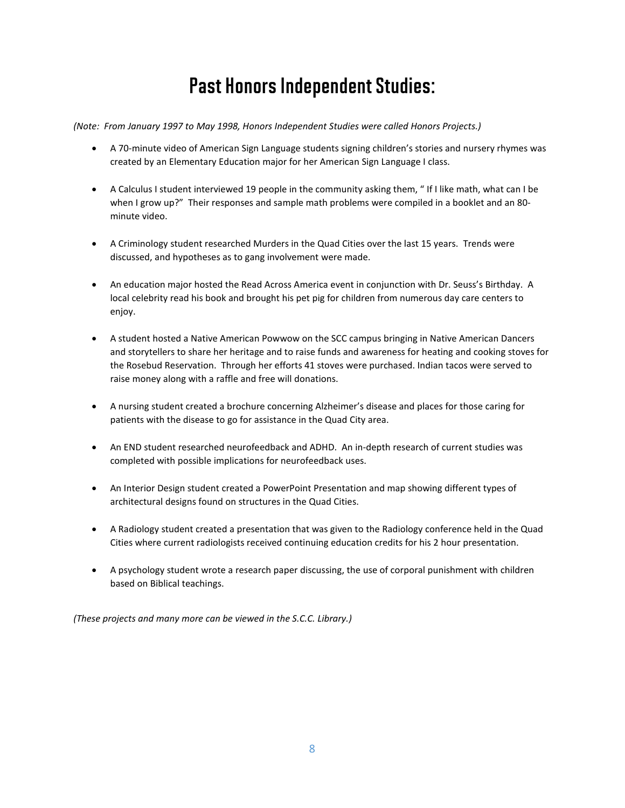# Past Honors Independent Studies:

*(Note: From January 1997 to May 1998, Honors Independent Studies were called Honors Projects.)*

- A 70-minute video of American Sign Language students signing children's stories and nursery rhymes was created by an Elementary Education major for her American Sign Language I class.
- A Calculus I student interviewed 19 people in the community asking them, " If I like math, what can I be when I grow up?" Their responses and sample math problems were compiled in a booklet and an 80 minute video.
- A Criminology student researched Murders in the Quad Cities over the last 15 years. Trends were discussed, and hypotheses as to gang involvement were made.
- An education major hosted the Read Across America event in conjunction with Dr. Seuss's Birthday. A local celebrity read his book and brought his pet pig for children from numerous day care centers to enjoy.
- A student hosted a Native American Powwow on the SCC campus bringing in Native American Dancers and storytellers to share her heritage and to raise funds and awareness for heating and cooking stoves for the Rosebud Reservation. Through her efforts 41 stoves were purchased. Indian tacos were served to raise money along with a raffle and free will donations.
- A nursing student created a brochure concerning Alzheimer's disease and places for those caring for patients with the disease to go for assistance in the Quad City area.
- An END student researched neurofeedback and ADHD. An in-depth research of current studies was completed with possible implications for neurofeedback uses.
- An Interior Design student created a PowerPoint Presentation and map showing different types of architectural designs found on structures in the Quad Cities.
- A Radiology student created a presentation that was given to the Radiology conference held in the Quad Cities where current radiologists received continuing education credits for his 2 hour presentation.
- A psychology student wrote a research paper discussing, the use of corporal punishment with children based on Biblical teachings.

*(These projects and many more can be viewed in the S.C.C. Library.)*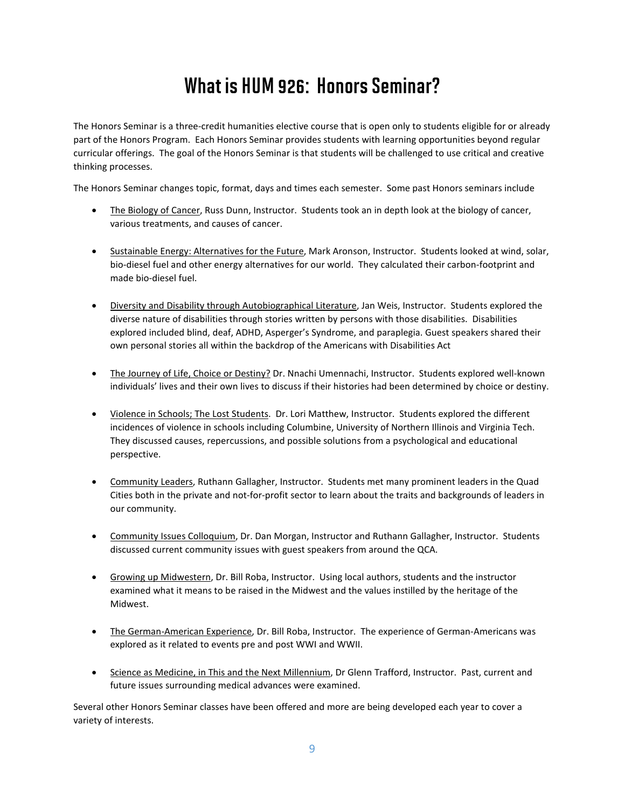# What is HUM 926: Honors Seminar?

The Honors Seminar is a three-credit humanities elective course that is open only to students eligible for or already part of the Honors Program. Each Honors Seminar provides students with learning opportunities beyond regular curricular offerings. The goal of the Honors Seminar is that students will be challenged to use critical and creative thinking processes.

The Honors Seminar changes topic, format, days and times each semester. Some past Honors seminars include

- The Biology of Cancer, Russ Dunn, Instructor. Students took an in depth look at the biology of cancer, various treatments, and causes of cancer.
- Sustainable Energy: Alternatives for the Future, Mark Aronson, Instructor. Students looked at wind, solar, bio-diesel fuel and other energy alternatives for our world. They calculated their carbon-footprint and made bio-diesel fuel.
- Diversity and Disability through Autobiographical Literature, Jan Weis, Instructor. Students explored the diverse nature of disabilities through stories written by persons with those disabilities. Disabilities explored included blind, deaf, ADHD, Asperger's Syndrome, and paraplegia. Guest speakers shared their own personal stories all within the backdrop of the Americans with Disabilities Act
- The Journey of Life, Choice or Destiny? Dr. Nnachi Umennachi, Instructor. Students explored well-known individuals' lives and their own lives to discuss if their histories had been determined by choice or destiny.
- Violence in Schools; The Lost Students. Dr. Lori Matthew, Instructor. Students explored the different incidences of violence in schools including Columbine, University of Northern Illinois and Virginia Tech. They discussed causes, repercussions, and possible solutions from a psychological and educational perspective.
- Community Leaders, Ruthann Gallagher, Instructor. Students met many prominent leaders in the Quad Cities both in the private and not-for-profit sector to learn about the traits and backgrounds of leaders in our community.
- Community Issues Colloquium, Dr. Dan Morgan, Instructor and Ruthann Gallagher, Instructor. Students discussed current community issues with guest speakers from around the QCA.
- Growing up Midwestern, Dr. Bill Roba, Instructor. Using local authors, students and the instructor examined what it means to be raised in the Midwest and the values instilled by the heritage of the Midwest.
- The German-American Experience, Dr. Bill Roba, Instructor. The experience of German-Americans was explored as it related to events pre and post WWI and WWII.
- Science as Medicine, in This and the Next Millennium, Dr Glenn Trafford, Instructor. Past, current and future issues surrounding medical advances were examined.

Several other Honors Seminar classes have been offered and more are being developed each year to cover a variety of interests.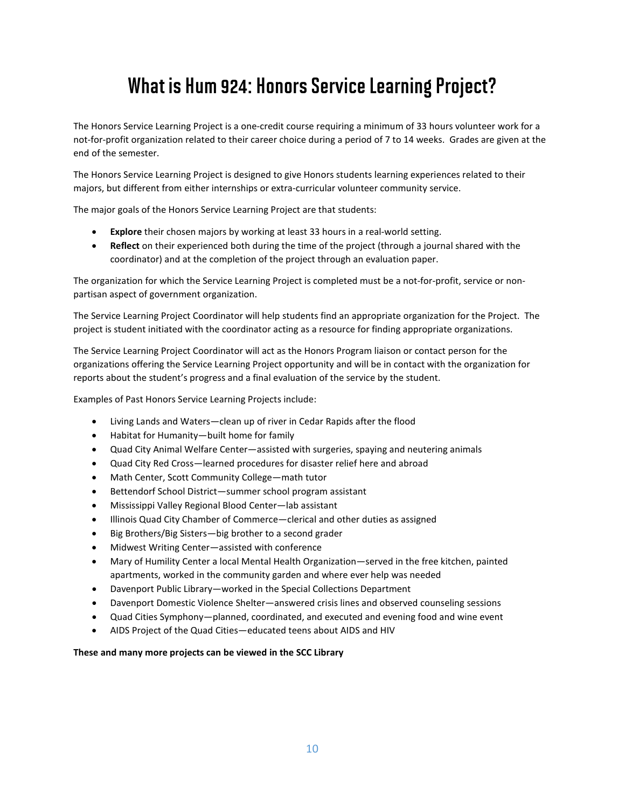## What is Hum 924: Honors Service Learning Project?

The Honors Service Learning Project is a one-credit course requiring a minimum of 33 hours volunteer work for a not-for-profit organization related to their career choice during a period of 7 to 14 weeks. Grades are given at the end of the semester.

The Honors Service Learning Project is designed to give Honors students learning experiences related to their majors, but different from either internships or extra-curricular volunteer community service.

The major goals of the Honors Service Learning Project are that students:

- **Explore** their chosen majors by working at least 33 hours in a real-world setting.
- **Reflect** on their experienced both during the time of the project (through a journal shared with the coordinator) and at the completion of the project through an evaluation paper.

The organization for which the Service Learning Project is completed must be a not-for-profit, service or nonpartisan aspect of government organization.

The Service Learning Project Coordinator will help students find an appropriate organization for the Project. The project is student initiated with the coordinator acting as a resource for finding appropriate organizations.

The Service Learning Project Coordinator will act as the Honors Program liaison or contact person for the organizations offering the Service Learning Project opportunity and will be in contact with the organization for reports about the student's progress and a final evaluation of the service by the student.

Examples of Past Honors Service Learning Projects include:

- Living Lands and Waters—clean up of river in Cedar Rapids after the flood
- Habitat for Humanity—built home for family
- Quad City Animal Welfare Center—assisted with surgeries, spaying and neutering animals
- Quad City Red Cross—learned procedures for disaster relief here and abroad
- Math Center, Scott Community College—math tutor
- Bettendorf School District—summer school program assistant
- Mississippi Valley Regional Blood Center—lab assistant
- Illinois Quad City Chamber of Commerce—clerical and other duties as assigned
- Big Brothers/Big Sisters—big brother to a second grader
- Midwest Writing Center—assisted with conference
- Mary of Humility Center a local Mental Health Organization—served in the free kitchen, painted apartments, worked in the community garden and where ever help was needed
- Davenport Public Library—worked in the Special Collections Department
- Davenport Domestic Violence Shelter—answered crisis lines and observed counseling sessions
- Quad Cities Symphony—planned, coordinated, and executed and evening food and wine event
- AIDS Project of the Quad Cities—educated teens about AIDS and HIV

#### **These and many more projects can be viewed in the SCC Library**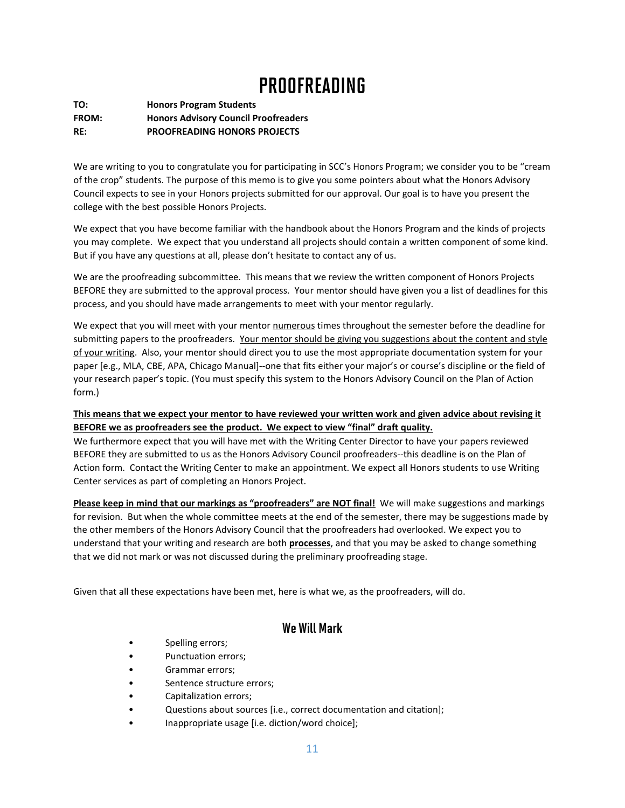## **PROOFREADING**

**TO: Honors Program Students FROM: Honors Advisory Council Proofreaders RE: PROOFREADING HONORS PROJECTS**

We are writing to you to congratulate you for participating in SCC's Honors Program; we consider you to be "cream of the crop" students. The purpose of this memo is to give you some pointers about what the Honors Advisory Council expects to see in your Honors projects submitted for our approval. Our goal is to have you present the college with the best possible Honors Projects.

We expect that you have become familiar with the handbook about the Honors Program and the kinds of projects you may complete. We expect that you understand all projects should contain a written component of some kind. But if you have any questions at all, please don't hesitate to contact any of us.

We are the proofreading subcommittee. This means that we review the written component of Honors Projects BEFORE they are submitted to the approval process. Your mentor should have given you a list of deadlines for this process, and you should have made arrangements to meet with your mentor regularly.

We expect that you will meet with your mentor numerous times throughout the semester before the deadline for submitting papers to the proofreaders. Your mentor should be giving you suggestions about the content and style of your writing. Also, your mentor should direct you to use the most appropriate documentation system for your paper [e.g., MLA, CBE, APA, Chicago Manual]--one that fits either your major's or course's discipline or the field of your research paper's topic. (You must specify this system to the Honors Advisory Council on the Plan of Action form.)

#### **This means that we expect your mentor to have reviewed your written work and given advice about revising it BEFORE we as proofreaders see the product. We expect to view "final" draft quality.**

We furthermore expect that you will have met with the Writing Center Director to have your papers reviewed BEFORE they are submitted to us as the Honors Advisory Council proofreaders--this deadline is on the Plan of Action form. Contact the Writing Center to make an appointment. We expect all Honors students to use Writing Center services as part of completing an Honors Project.

**Please keep in mind that our markings as "proofreaders" are NOT final!** We will make suggestions and markings for revision. But when the whole committee meets at the end of the semester, there may be suggestions made by the other members of the Honors Advisory Council that the proofreaders had overlooked. We expect you to understand that your writing and research are both **processes**, and that you may be asked to change something that we did not mark or was not discussed during the preliminary proofreading stage.

Given that all these expectations have been met, here is what we, as the proofreaders, will do.

### We Will Mark

- Spelling errors;
- Punctuation errors;
- Grammar errors;
- Sentence structure errors;
- Capitalization errors;
- Questions about sources [i.e., correct documentation and citation];
- Inappropriate usage [i.e. diction/word choice];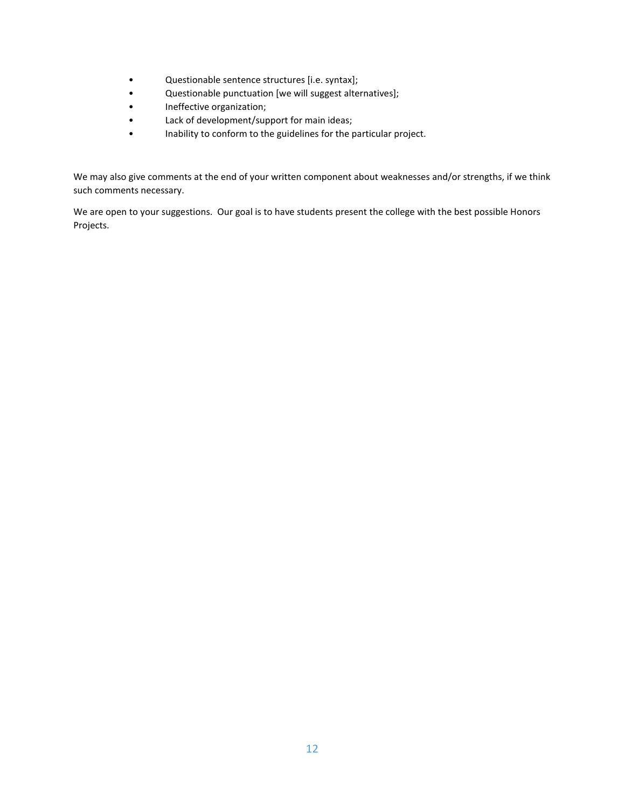- Questionable sentence structures [i.e. syntax];
- Questionable punctuation [we will suggest alternatives];
- Ineffective organization;
- Lack of development/support for main ideas;
- Inability to conform to the guidelines for the particular project.

We may also give comments at the end of your written component about weaknesses and/or strengths, if we think such comments necessary.

We are open to your suggestions. Our goal is to have students present the college with the best possible Honors Projects.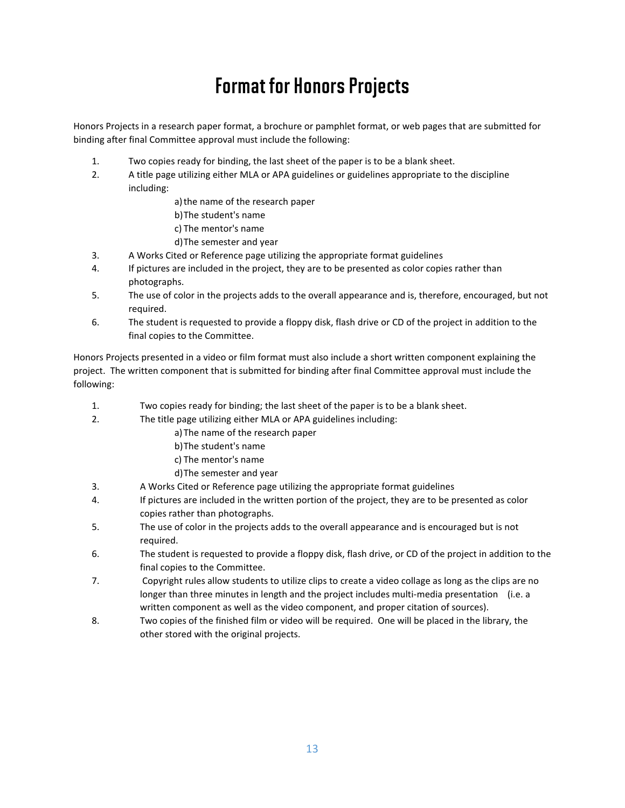# Format for Honors Projects

Honors Projects in a research paper format, a brochure or pamphlet format, or web pages that are submitted for binding after final Committee approval must include the following:

- 1. Two copies ready for binding, the last sheet of the paper is to be a blank sheet.
- 2. A title page utilizing either MLA or APA guidelines or guidelines appropriate to the discipline including:

a)the name of the research paper

- b)The student's name
- c) The mentor's name
- d)The semester and year
- 3. A Works Cited or Reference page utilizing the appropriate format guidelines
- 4. If pictures are included in the project, they are to be presented as color copies rather than photographs.
- 5. The use of color in the projects adds to the overall appearance and is, therefore, encouraged, but not required.
- 6. The student is requested to provide a floppy disk, flash drive or CD of the project in addition to the final copies to the Committee.

Honors Projects presented in a video or film format must also include a short written component explaining the project. The written component that is submitted for binding after final Committee approval must include the following:

- 1. Two copies ready for binding; the last sheet of the paper is to be a blank sheet.
- 2. The title page utilizing either MLA or APA guidelines including:
	- a)The name of the research paper
		- b)The student's name
		- c) The mentor's name
		- d)The semester and year
- 3. A Works Cited or Reference page utilizing the appropriate format guidelines
- 4. If pictures are included in the written portion of the project, they are to be presented as color copies rather than photographs.
- 5. The use of color in the projects adds to the overall appearance and is encouraged but is not required.
- 6. The student is requested to provide a floppy disk, flash drive, or CD of the project in addition to the final copies to the Committee.
- 7. Copyright rules allow students to utilize clips to create a video collage as long as the clips are no longer than three minutes in length and the project includes multi-media presentation (i.e. a written component as well as the video component, and proper citation of sources).
- 8. Two copies of the finished film or video will be required. One will be placed in the library, the other stored with the original projects.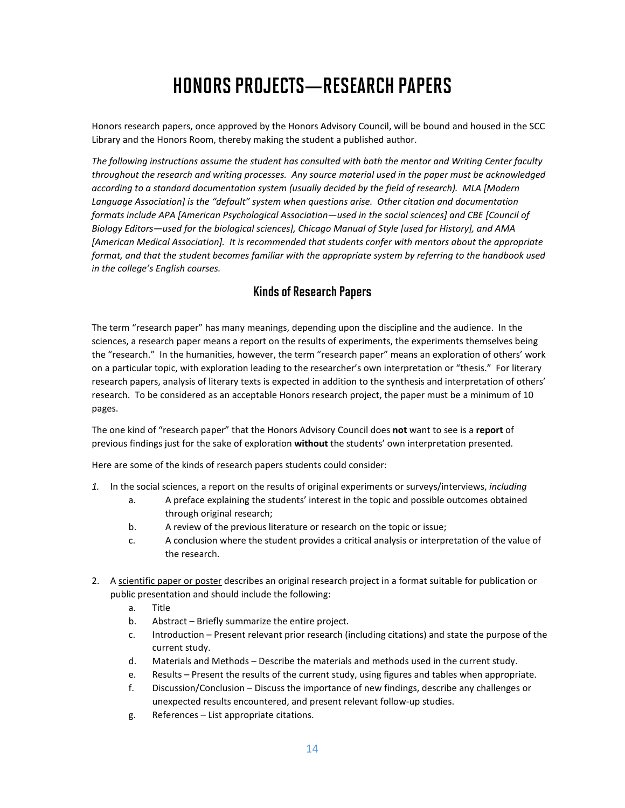# HONORS PROJECTS—RESEARCH PAPERS

Honors research papers, once approved by the Honors Advisory Council, will be bound and housed in the SCC Library and the Honors Room, thereby making the student a published author.

*The following instructions assume the student has consulted with both the mentor and Writing Center faculty throughout the research and writing processes. Any source material used in the paper must be acknowledged according to a standard documentation system (usually decided by the field of research). MLA [Modern Language Association] is the "default" system when questions arise. Other citation and documentation formats include APA [American Psychological Association—used in the social sciences] and CBE [Council of Biology Editors—used for the biological sciences], Chicago Manual of Style [used for History], and AMA [American Medical Association]. It is recommended that students confer with mentors about the appropriate format, and that the student becomes familiar with the appropriate system by referring to the handbook used in the college's English courses.*

#### Kinds of Research Papers

The term "research paper" has many meanings, depending upon the discipline and the audience. In the sciences, a research paper means a report on the results of experiments, the experiments themselves being the "research." In the humanities, however, the term "research paper" means an exploration of others' work on a particular topic, with exploration leading to the researcher's own interpretation or "thesis." For literary research papers, analysis of literary texts is expected in addition to the synthesis and interpretation of others' research. To be considered as an acceptable Honors research project, the paper must be a minimum of 10 pages.

The one kind of "research paper" that the Honors Advisory Council does **not** want to see is a **report** of previous findings just for the sake of exploration **without** the students' own interpretation presented.

Here are some of the kinds of research papers students could consider:

- *1.* In the social sciences, a report on the results of original experiments or surveys/interviews, *including*
	- a. A preface explaining the students' interest in the topic and possible outcomes obtained through original research;
	- b. A review of the previous literature or research on the topic or issue;
	- c. A conclusion where the student provides a critical analysis or interpretation of the value of the research.
- 2. A scientific paper or poster describes an original research project in a format suitable for publication or public presentation and should include the following:
	- a. Title
	- b. Abstract Briefly summarize the entire project.
	- c. Introduction Present relevant prior research (including citations) and state the purpose of the current study.
	- d. Materials and Methods Describe the materials and methods used in the current study.
	- e. Results Present the results of the current study, using figures and tables when appropriate.
	- f. Discussion/Conclusion Discuss the importance of new findings, describe any challenges or unexpected results encountered, and present relevant follow-up studies.
	- g. References List appropriate citations.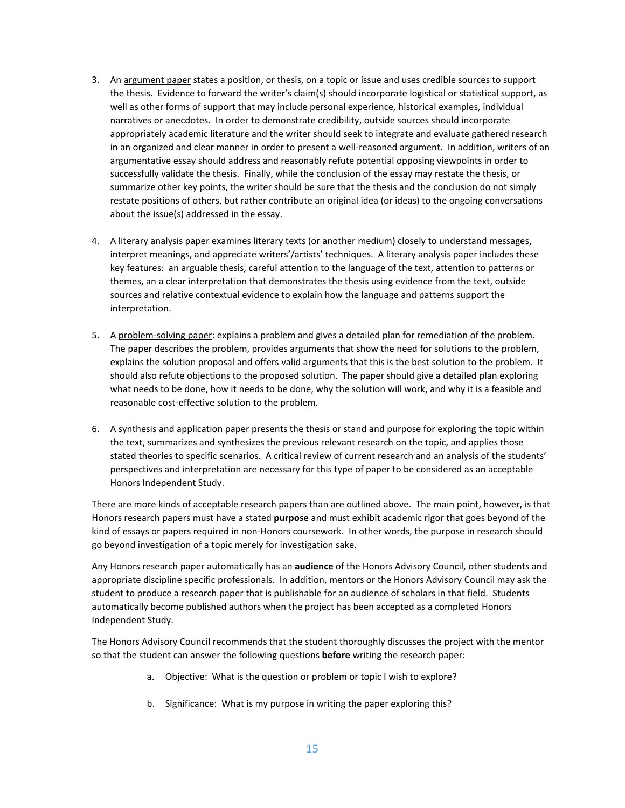- 3. An argument paper states a position, or thesis, on a topic or issue and uses credible sources to support the thesis. Evidence to forward the writer's claim(s) should incorporate logistical or statistical support, as well as other forms of support that may include personal experience, historical examples, individual narratives or anecdotes. In order to demonstrate credibility, outside sources should incorporate appropriately academic literature and the writer should seek to integrate and evaluate gathered research in an organized and clear manner in order to present a well-reasoned argument. In addition, writers of an argumentative essay should address and reasonably refute potential opposing viewpoints in order to successfully validate the thesis. Finally, while the conclusion of the essay may restate the thesis, or summarize other key points, the writer should be sure that the thesis and the conclusion do not simply restate positions of others, but rather contribute an original idea (or ideas) to the ongoing conversations about the issue(s) addressed in the essay.
- 4. A literary analysis paper examines literary texts (or another medium) closely to understand messages, interpret meanings, and appreciate writers'/artists' techniques. A literary analysis paper includes these key features: an arguable thesis, careful attention to the language of the text, attention to patterns or themes, an a clear interpretation that demonstrates the thesis using evidence from the text, outside sources and relative contextual evidence to explain how the language and patterns support the interpretation.
- 5. A problem-solving paper: explains a problem and gives a detailed plan for remediation of the problem. The paper describes the problem, provides arguments that show the need for solutions to the problem, explains the solution proposal and offers valid arguments that this is the best solution to the problem. It should also refute objections to the proposed solution. The paper should give a detailed plan exploring what needs to be done, how it needs to be done, why the solution will work, and why it is a feasible and reasonable cost-effective solution to the problem.
- 6. A synthesis and application paper presents the thesis or stand and purpose for exploring the topic within the text, summarizes and synthesizes the previous relevant research on the topic, and applies those stated theories to specific scenarios. A critical review of current research and an analysis of the students' perspectives and interpretation are necessary for this type of paper to be considered as an acceptable Honors Independent Study.

There are more kinds of acceptable research papers than are outlined above. The main point, however, is that Honors research papers must have a stated **purpose** and must exhibit academic rigor that goes beyond of the kind of essays or papers required in non-Honors coursework. In other words, the purpose in research should go beyond investigation of a topic merely for investigation sake.

Any Honors research paper automatically has an **audience** of the Honors Advisory Council, other students and appropriate discipline specific professionals. In addition, mentors or the Honors Advisory Council may ask the student to produce a research paper that is publishable for an audience of scholars in that field. Students automatically become published authors when the project has been accepted as a completed Honors Independent Study.

The Honors Advisory Council recommends that the student thoroughly discusses the project with the mentor so that the student can answer the following questions **before** writing the research paper:

- a. Objective: What is the question or problem or topic I wish to explore?
- b. Significance: What is my purpose in writing the paper exploring this?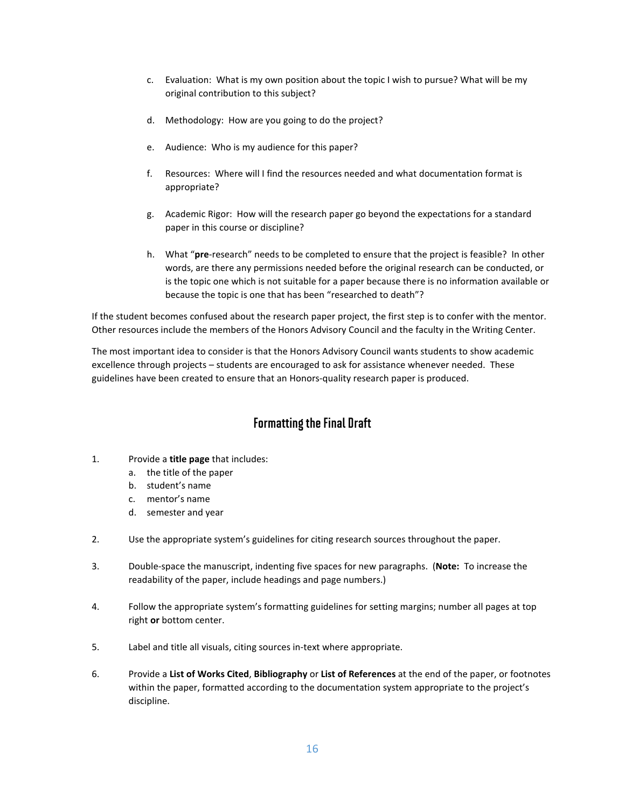- c. Evaluation: What is my own position about the topic I wish to pursue? What will be my original contribution to this subject?
- d. Methodology: How are you going to do the project?
- e. Audience: Who is my audience for this paper?
- f. Resources: Where will I find the resources needed and what documentation format is appropriate?
- g. Academic Rigor: How will the research paper go beyond the expectations for a standard paper in this course or discipline?
- h. What "**pre**-research" needs to be completed to ensure that the project is feasible? In other words, are there any permissions needed before the original research can be conducted, or is the topic one which is not suitable for a paper because there is no information available or because the topic is one that has been "researched to death"?

If the student becomes confused about the research paper project, the first step is to confer with the mentor. Other resources include the members of the Honors Advisory Council and the faculty in the Writing Center.

The most important idea to consider is that the Honors Advisory Council wants students to show academic excellence through projects – students are encouraged to ask for assistance whenever needed. These guidelines have been created to ensure that an Honors-quality research paper is produced.

### Formatting the Final Draft

- 1. Provide a **title page** that includes:
	- a. the title of the paper
	- b. student's name
	- c. mentor's name
	- d. semester and year
- 2. Use the appropriate system's guidelines for citing research sources throughout the paper.
- 3. Double-space the manuscript, indenting five spaces for new paragraphs. (**Note:** To increase the readability of the paper, include headings and page numbers.)
- 4. Follow the appropriate system's formatting guidelines for setting margins; number all pages at top right **or** bottom center.
- 5. Label and title all visuals, citing sources in-text where appropriate.
- 6. Provide a **List of Works Cited**, **Bibliography** or **List of References** at the end of the paper, or footnotes within the paper, formatted according to the documentation system appropriate to the project's discipline.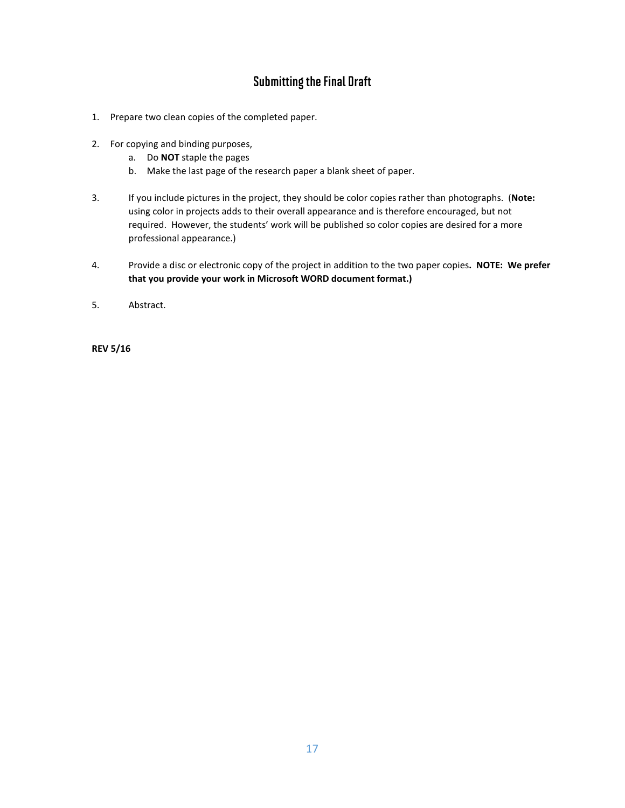### Submitting the Final Draft

- 1. Prepare two clean copies of the completed paper.
- 2. For copying and binding purposes,
	- a. Do **NOT** staple the pages
	- b. Make the last page of the research paper a blank sheet of paper.
- 3. If you include pictures in the project, they should be color copies rather than photographs. (**Note:** using color in projects adds to their overall appearance and is therefore encouraged, but not required. However, the students' work will be published so color copies are desired for a more professional appearance.)
- 4. Provide a disc or electronic copy of the project in addition to the two paper copies**. NOTE: We prefer that you provide your work in Microsoft WORD document format.)**
- 5. Abstract.

**REV 5/16**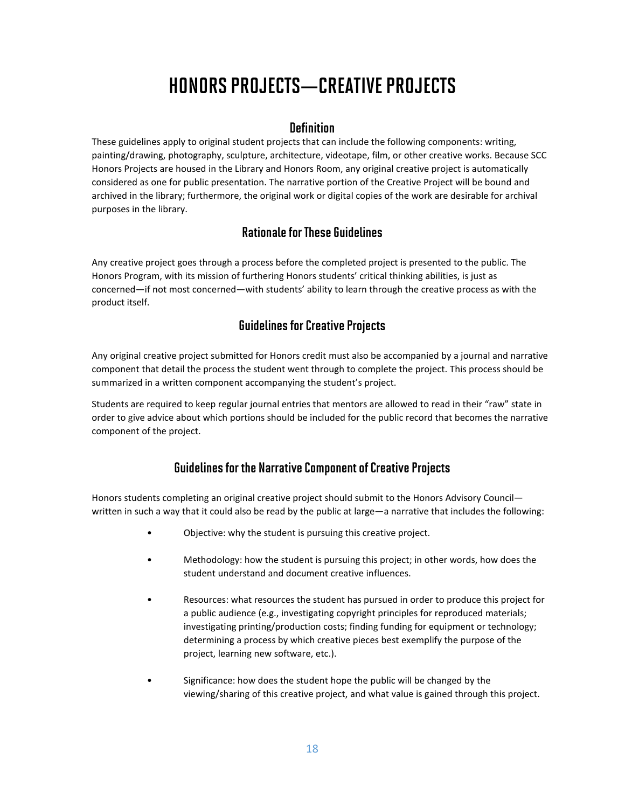# HONORS PROJECTS—CREATIVE PROJECTS

#### **Definition**

These guidelines apply to original student projects that can include the following components: writing, painting/drawing, photography, sculpture, architecture, videotape, film, or other creative works. Because SCC Honors Projects are housed in the Library and Honors Room, any original creative project is automatically considered as one for public presentation. The narrative portion of the Creative Project will be bound and archived in the library; furthermore, the original work or digital copies of the work are desirable for archival purposes in the library.

### Rationale for These Guidelines

Any creative project goes through a process before the completed project is presented to the public. The Honors Program, with its mission of furthering Honors students' critical thinking abilities, is just as concerned—if not most concerned—with students' ability to learn through the creative process as with the product itself.

### Guidelines for Creative Projects

Any original creative project submitted for Honors credit must also be accompanied by a journal and narrative component that detail the process the student went through to complete the project. This process should be summarized in a written component accompanying the student's project.

Students are required to keep regular journal entries that mentors are allowed to read in their "raw" state in order to give advice about which portions should be included for the public record that becomes the narrative component of the project.

### Guidelines for the Narrative Component of Creative Projects

Honors students completing an original creative project should submit to the Honors Advisory Council written in such a way that it could also be read by the public at large—a narrative that includes the following:

- Objective: why the student is pursuing this creative project.
- Methodology: how the student is pursuing this project; in other words, how does the student understand and document creative influences.
- Resources: what resources the student has pursued in order to produce this project for a public audience (e.g., investigating copyright principles for reproduced materials; investigating printing/production costs; finding funding for equipment or technology; determining a process by which creative pieces best exemplify the purpose of the project, learning new software, etc.).
- Significance: how does the student hope the public will be changed by the viewing/sharing of this creative project, and what value is gained through this project.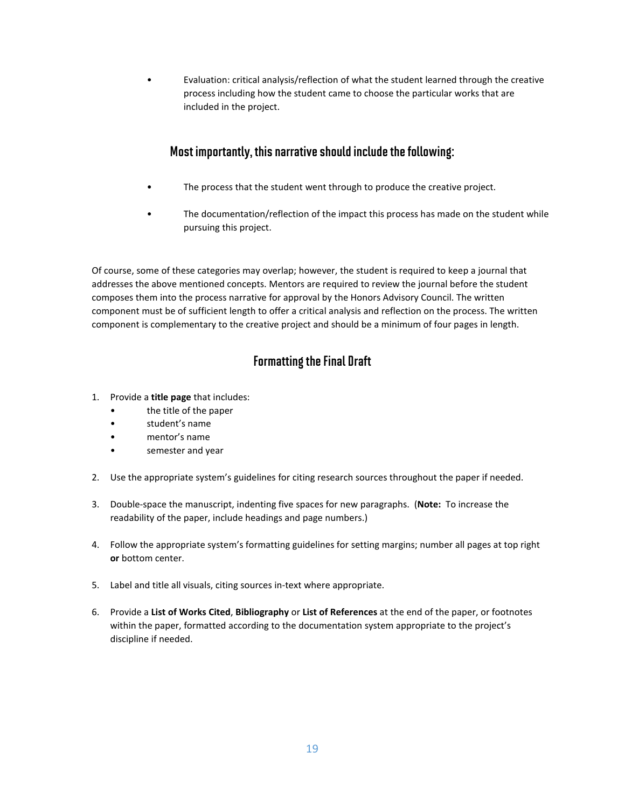• Evaluation: critical analysis/reflection of what the student learned through the creative process including how the student came to choose the particular works that are included in the project.

### Most importantly, this narrative should include the following:

- The process that the student went through to produce the creative project.
- The documentation/reflection of the impact this process has made on the student while pursuing this project.

Of course, some of these categories may overlap; however, the student is required to keep a journal that addresses the above mentioned concepts. Mentors are required to review the journal before the student composes them into the process narrative for approval by the Honors Advisory Council. The written component must be of sufficient length to offer a critical analysis and reflection on the process. The written component is complementary to the creative project and should be a minimum of four pages in length.

### Formatting the Final Draft

- 1. Provide a **title page** that includes:
	- the title of the paper
	- student's name
	- mentor's name
	- semester and year
- 2. Use the appropriate system's guidelines for citing research sources throughout the paper if needed.
- 3. Double-space the manuscript, indenting five spaces for new paragraphs. (**Note:** To increase the readability of the paper, include headings and page numbers.)
- 4. Follow the appropriate system's formatting guidelines for setting margins; number all pages at top right **or** bottom center.
- 5. Label and title all visuals, citing sources in-text where appropriate.
- 6. Provide a **List of Works Cited**, **Bibliography** or **List of References** at the end of the paper, or footnotes within the paper, formatted according to the documentation system appropriate to the project's discipline if needed.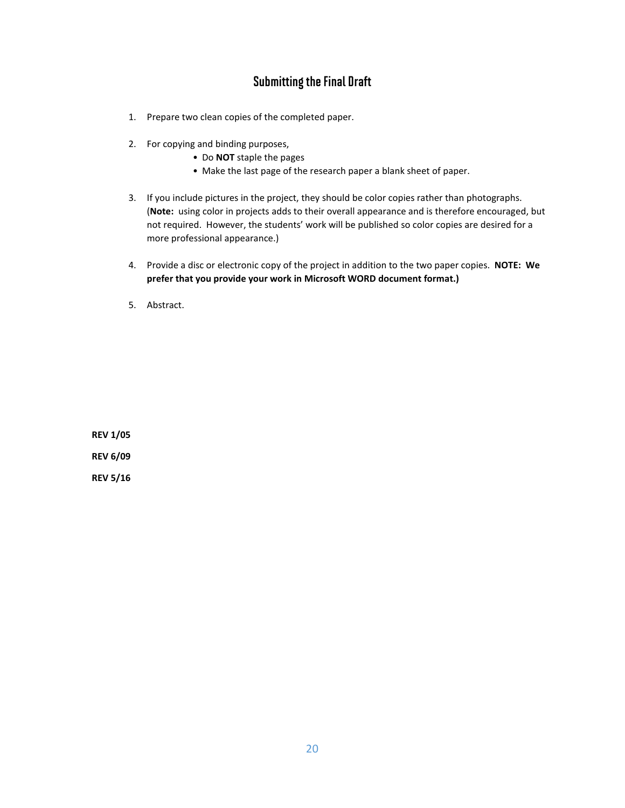### Submitting the Final Draft

- 1. Prepare two clean copies of the completed paper.
- 2. For copying and binding purposes,
	- Do **NOT** staple the pages
	- Make the last page of the research paper a blank sheet of paper.
- 3. If you include pictures in the project, they should be color copies rather than photographs. (**Note:** using color in projects adds to their overall appearance and is therefore encouraged, but not required. However, the students' work will be published so color copies are desired for a more professional appearance.)
- 4. Provide a disc or electronic copy of the project in addition to the two paper copies. **NOTE: We prefer that you provide your work in Microsoft WORD document format.)**
- 5. Abstract.

**REV 1/05 REV 6/09**

**REV 5/16**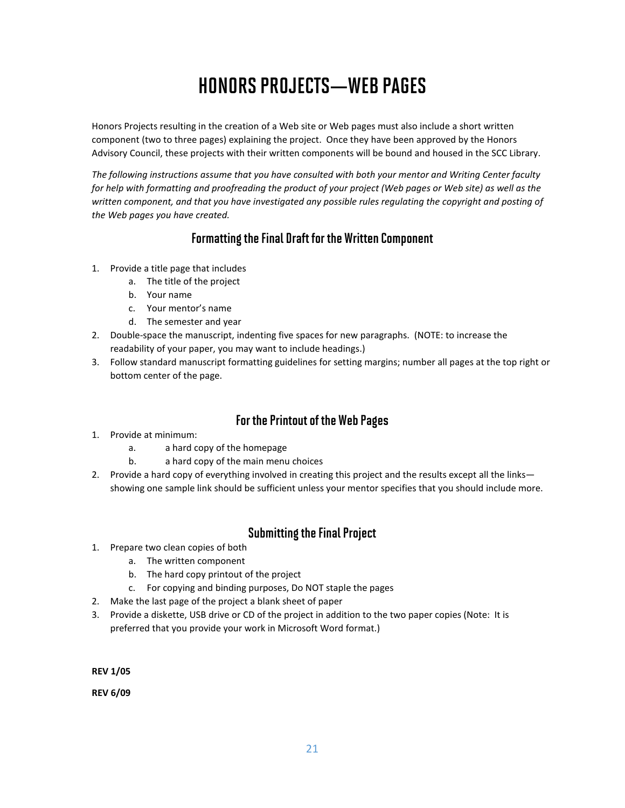# HONORS PROJECTS—WEB PAGES

Honors Projects resulting in the creation of a Web site or Web pages must also include a short written component (two to three pages) explaining the project. Once they have been approved by the Honors Advisory Council, these projects with their written components will be bound and housed in the SCC Library.

*The following instructions assume that you have consulted with both your mentor and Writing Center faculty for help with formatting and proofreading the product of your project (Web pages or Web site) as well as the*  written component, and that you have investigated any possible rules regulating the copyright and posting of *the Web pages you have created.*

### Formatting the Final Draft for the Written Component

- 1. Provide a title page that includes
	- a. The title of the project
	- b. Your name
	- c. Your mentor's name
	- d. The semester and year
- 2. Double-space the manuscript, indenting five spaces for new paragraphs. (NOTE: to increase the readability of your paper, you may want to include headings.)
- 3. Follow standard manuscript formatting guidelines for setting margins; number all pages at the top right or bottom center of the page.

### For the Printout of the Web Pages

- 1. Provide at minimum:
	- a. a hard copy of the homepage
	- b. a hard copy of the main menu choices
- 2. Provide a hard copy of everything involved in creating this project and the results except all the links showing one sample link should be sufficient unless your mentor specifies that you should include more.

### Submitting the Final Project

- 1. Prepare two clean copies of both
	- a. The written component
	- b. The hard copy printout of the project
	- c. For copying and binding purposes, Do NOT staple the pages
- 2. Make the last page of the project a blank sheet of paper
- 3. Provide a diskette, USB drive or CD of the project in addition to the two paper copies (Note: It is preferred that you provide your work in Microsoft Word format.)

**REV 1/05**

**REV 6/09**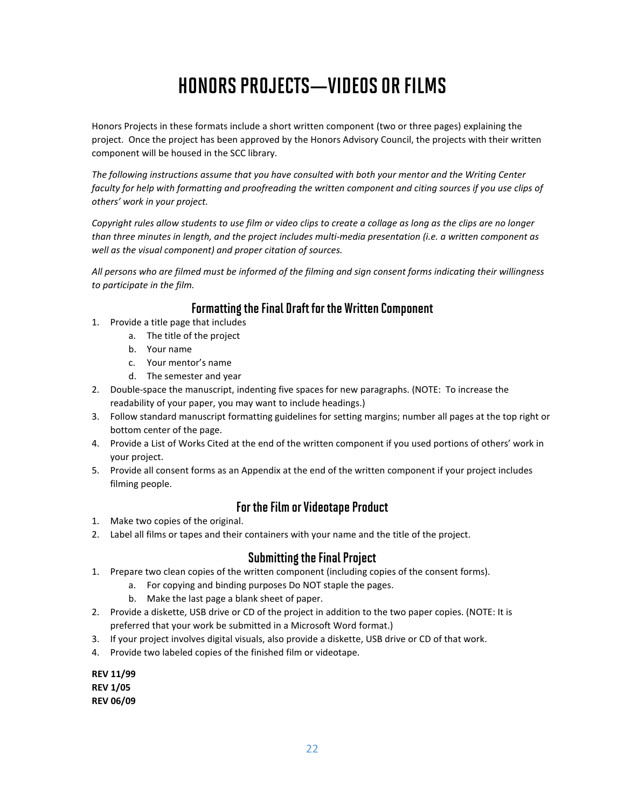# HONORS PROJECTS—VIDEOS OR FILMS

Honors Projects in these formats include a short written component (two or three pages) explaining the project. Once the project has been approved by the Honors Advisory Council, the projects with their written component will be housed in the SCC library.

*The following instructions assume that you have consulted with both your mentor and the Writing Center faculty for help with formatting and proofreading the written component and citing sources if you use clips of others' work in your project.*

*Copyright rules allow students to use film or video clips to create a collage as long as the clips are no longer than three minutes in length, and the project includes multi-media presentation (i.e. a written component as well as the visual component) and proper citation of sources.*

*All persons who are filmed must be informed of the filming and sign consent forms indicating their willingness to participate in the film.*

### Formatting the Final Draft for the Written Component

- 1. Provide a title page that includes
	- a. The title of the project
	- b. Your name
	- c. Your mentor's name
	- d. The semester and year
- 2. Double-space the manuscript, indenting five spaces for new paragraphs. (NOTE: To increase the readability of your paper, you may want to include headings.)
- 3. Follow standard manuscript formatting guidelines for setting margins; number all pages at the top right or bottom center of the page.
- 4. Provide a List of Works Cited at the end of the written component if you used portions of others' work in your project.
- 5. Provide all consent forms as an Appendix at the end of the written component if your project includes filming people.

### For the Film or Videotape Product

- 1. Make two copies of the original.
- 2. Label all films or tapes and their containers with your name and the title of the project.

### Submitting the Final Project

- 1. Prepare two clean copies of the written component (including copies of the consent forms).
	- a. For copying and binding purposes Do NOT staple the pages.
		- b. Make the last page a blank sheet of paper.
- 2. Provide a diskette, USB drive or CD of the project in addition to the two paper copies. (NOTE: It is preferred that your work be submitted in a Microsoft Word format.)
- 3. If your project involves digital visuals, also provide a diskette, USB drive or CD of that work.
- 4. Provide two labeled copies of the finished film or videotape.

**REV 11/99 REV 1/05 REV 06/09**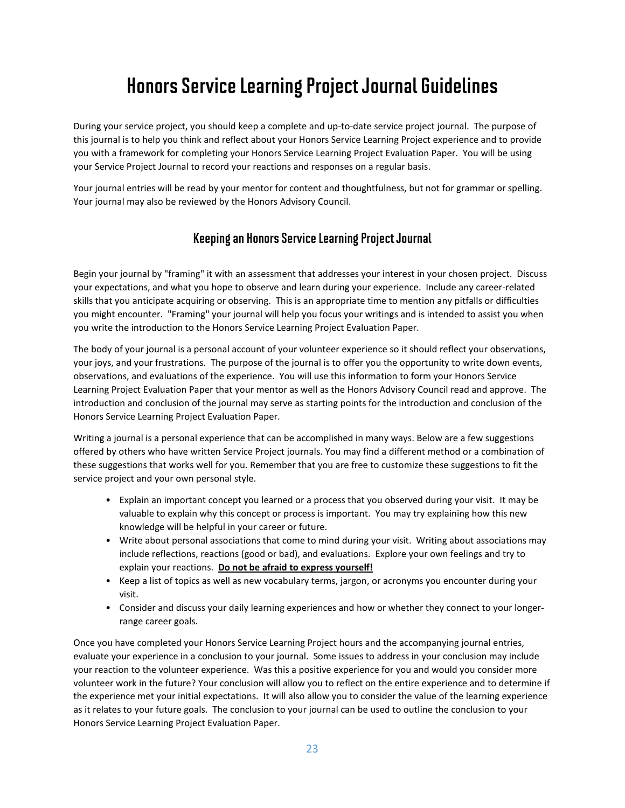## Honors Service Learning Project Journal Guidelines

During your service project, you should keep a complete and up-to-date service project journal. The purpose of this journal is to help you think and reflect about your Honors Service Learning Project experience and to provide you with a framework for completing your Honors Service Learning Project Evaluation Paper. You will be using your Service Project Journal to record your reactions and responses on a regular basis.

Your journal entries will be read by your mentor for content and thoughtfulness, but not for grammar or spelling. Your journal may also be reviewed by the Honors Advisory Council.

### Keeping an Honors Service Learning Project Journal

Begin your journal by "framing" it with an assessment that addresses your interest in your chosen project. Discuss your expectations, and what you hope to observe and learn during your experience. Include any career-related skills that you anticipate acquiring or observing. This is an appropriate time to mention any pitfalls or difficulties you might encounter. "Framing" your journal will help you focus your writings and is intended to assist you when you write the introduction to the Honors Service Learning Project Evaluation Paper.

The body of your journal is a personal account of your volunteer experience so it should reflect your observations, your joys, and your frustrations. The purpose of the journal is to offer you the opportunity to write down events, observations, and evaluations of the experience. You will use this information to form your Honors Service Learning Project Evaluation Paper that your mentor as well as the Honors Advisory Council read and approve. The introduction and conclusion of the journal may serve as starting points for the introduction and conclusion of the Honors Service Learning Project Evaluation Paper.

Writing a journal is a personal experience that can be accomplished in many ways. Below are a few suggestions offered by others who have written Service Project journals. You may find a different method or a combination of these suggestions that works well for you. Remember that you are free to customize these suggestions to fit the service project and your own personal style.

- Explain an important concept you learned or a process that you observed during your visit. It may be valuable to explain why this concept or process is important. You may try explaining how this new knowledge will be helpful in your career or future.
- Write about personal associations that come to mind during your visit. Writing about associations may include reflections, reactions (good or bad), and evaluations. Explore your own feelings and try to explain your reactions. **Do not be afraid to express yourself!**
- Keep a list of topics as well as new vocabulary terms, jargon, or acronyms you encounter during your visit.
- Consider and discuss your daily learning experiences and how or whether they connect to your longerrange career goals.

Once you have completed your Honors Service Learning Project hours and the accompanying journal entries, evaluate your experience in a conclusion to your journal. Some issues to address in your conclusion may include your reaction to the volunteer experience. Was this a positive experience for you and would you consider more volunteer work in the future? Your conclusion will allow you to reflect on the entire experience and to determine if the experience met your initial expectations. It will also allow you to consider the value of the learning experience as it relates to your future goals. The conclusion to your journal can be used to outline the conclusion to your Honors Service Learning Project Evaluation Paper.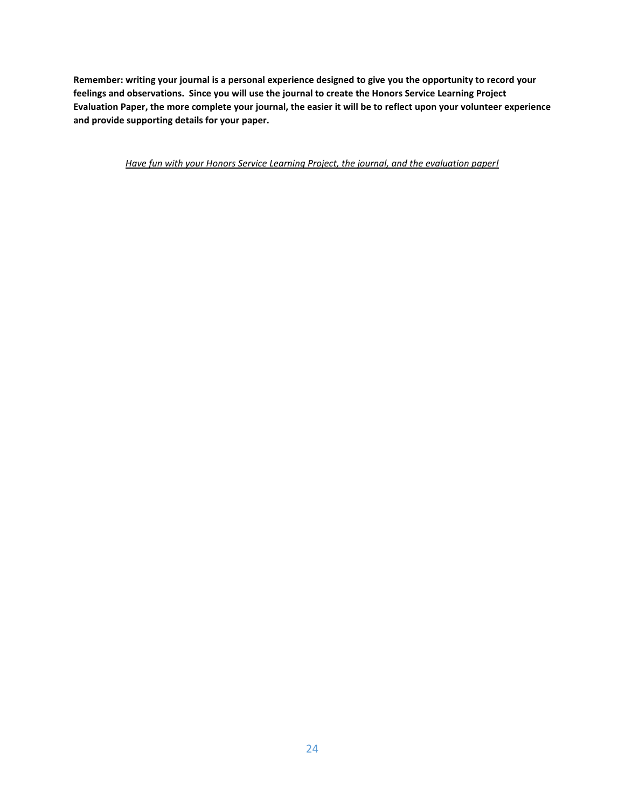**Remember: writing your journal is a personal experience designed to give you the opportunity to record your feelings and observations. Since you will use the journal to create the Honors Service Learning Project Evaluation Paper, the more complete your journal, the easier it will be to reflect upon your volunteer experience and provide supporting details for your paper.** 

*Have fun with your Honors Service Learning Project, the journal, and the evaluation paper!*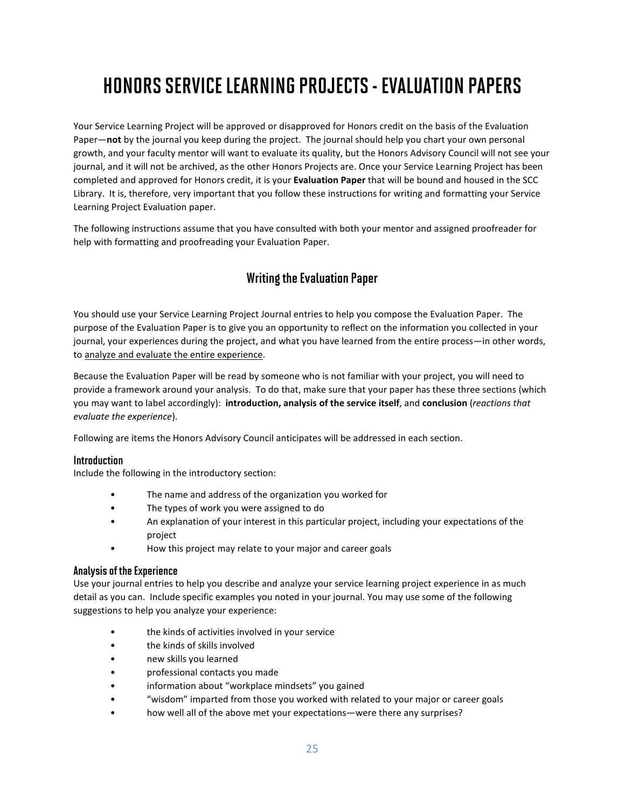# HONORS SERVICE LEARNING PROJECTS -EVALUATION PAPERS

Your Service Learning Project will be approved or disapproved for Honors credit on the basis of the Evaluation Paper—**not** by the journal you keep during the project. The journal should help you chart your own personal growth, and your faculty mentor will want to evaluate its quality, but the Honors Advisory Council will not see your journal, and it will not be archived, as the other Honors Projects are. Once your Service Learning Project has been completed and approved for Honors credit, it is your **Evaluation Paper** that will be bound and housed in the SCC Library. It is, therefore, very important that you follow these instructions for writing and formatting your Service Learning Project Evaluation paper.

The following instructions assume that you have consulted with both your mentor and assigned proofreader for help with formatting and proofreading your Evaluation Paper.

### Writing the Evaluation Paper

You should use your Service Learning Project Journal entries to help you compose the Evaluation Paper. The purpose of the Evaluation Paper is to give you an opportunity to reflect on the information you collected in your journal, your experiences during the project, and what you have learned from the entire process—in other words, to analyze and evaluate the entire experience.

Because the Evaluation Paper will be read by someone who is not familiar with your project, you will need to provide a framework around your analysis. To do that, make sure that your paper has these three sections (which you may want to label accordingly): **introduction, analysis of the service itself**, and **conclusion** (*reactions that evaluate the experience*).

Following are items the Honors Advisory Council anticipates will be addressed in each section.

#### **Introduction**

Include the following in the introductory section:

- The name and address of the organization you worked for
- The types of work you were assigned to do
- An explanation of your interest in this particular project, including your expectations of the project
- How this project may relate to your major and career goals

#### Analysis of the Experience

Use your journal entries to help you describe and analyze your service learning project experience in as much detail as you can. Include specific examples you noted in your journal. You may use some of the following suggestions to help you analyze your experience:

- the kinds of activities involved in your service
- the kinds of skills involved
- new skills you learned
- professional contacts you made
- information about "workplace mindsets" you gained
- "wisdom" imparted from those you worked with related to your major or career goals
- how well all of the above met your expectations—were there any surprises?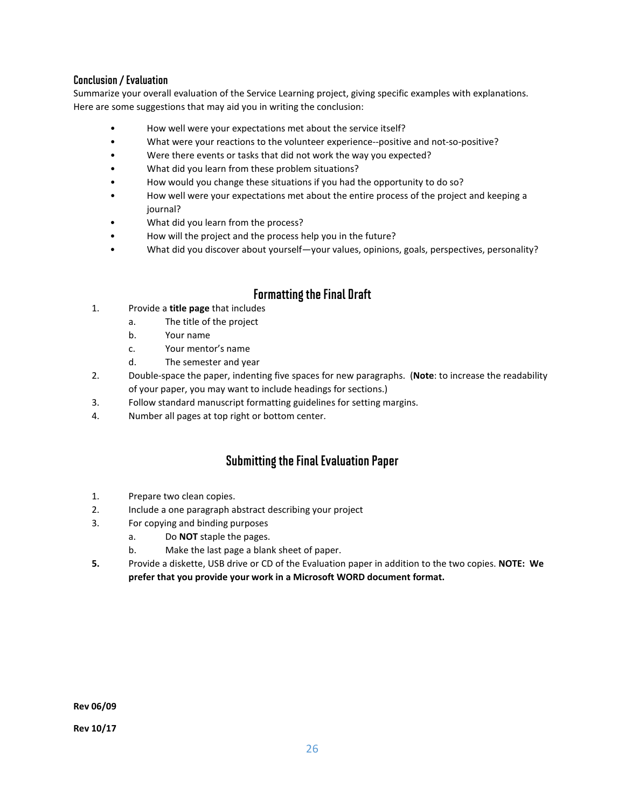#### Conclusion / Evaluation

Summarize your overall evaluation of the Service Learning project, giving specific examples with explanations. Here are some suggestions that may aid you in writing the conclusion:

- How well were your expectations met about the service itself?
- What were your reactions to the volunteer experience--positive and not-so-positive?
- Were there events or tasks that did not work the way you expected?
- What did you learn from these problem situations?
- How would you change these situations if you had the opportunity to do so?
- How well were your expectations met about the entire process of the project and keeping a journal?
- What did you learn from the process?
- How will the project and the process help you in the future?
- What did you discover about yourself—your values, opinions, goals, perspectives, personality?

#### Formatting the Final Draft

- 1. Provide a **title page** that includes
	- a. The title of the project
	- b. Your name
	- c. Your mentor's name
	- d. The semester and year
- 2. Double-space the paper, indenting five spaces for new paragraphs. (**Note**: to increase the readability of your paper, you may want to include headings for sections.)
- 3. Follow standard manuscript formatting guidelines for setting margins.
- 4. Number all pages at top right or bottom center.

#### Submitting the Final Evaluation Paper

- 1. Prepare two clean copies.
- 2. Include a one paragraph abstract describing your project
- 3. For copying and binding purposes
	- a. Do **NOT** staple the pages.
	- b. Make the last page a blank sheet of paper.
- **5.** Provide a diskette, USB drive or CD of the Evaluation paper in addition to the two copies. **NOTE: We prefer that you provide your work in a Microsoft WORD document format.**

**Rev 10/17**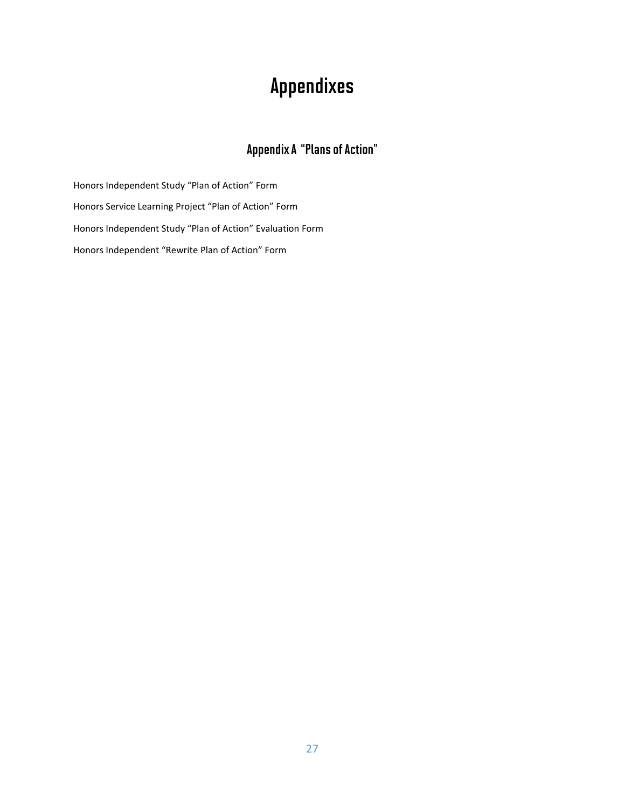# Appendixes

### Appendix A "Plans of Action"

Honors Independent Study "Plan of Action" Form Honors Service Learning Project "Plan of Action" Form Honors Independent Study "Plan of Action" Evaluation Form Honors Independent "Rewrite Plan of Action" Form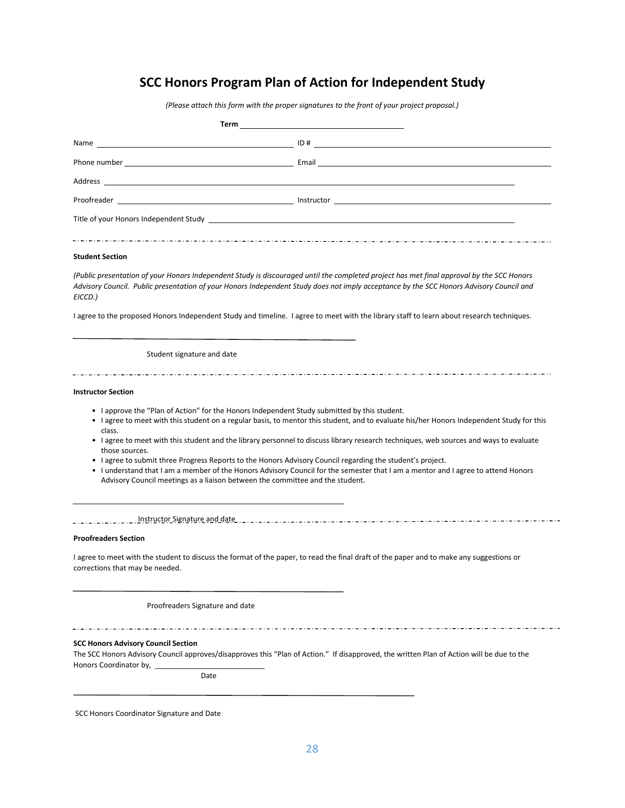### **SCC Honors Program Plan of Action for Independent Study**

*(Please attach this form with the proper signatures to the front of your project proposal.)*

| $\begin{array}{c c c c c} \textbf{Instrument} & \textbf{if} & \textbf{if} & \textbf{if} & \textbf{if} & \textbf{if} & \textbf{if} & \textbf{if} & \textbf{if} & \textbf{if} & \textbf{if} & \textbf{if} & \textbf{if} & \textbf{if} & \textbf{if} & \textbf{if} & \textbf{if} & \textbf{if} & \textbf{if} & \textbf{if} & \textbf{if} & \textbf{if} & \textbf{if} & \textbf{if} & \textbf{if} & \textbf{if} & \textbf{if} & \textbf{if} & \textbf{if} & \text$ |
|----------------------------------------------------------------------------------------------------------------------------------------------------------------------------------------------------------------------------------------------------------------------------------------------------------------------------------------------------------------------------------------------------------------------------------------------------------------|
|                                                                                                                                                                                                                                                                                                                                                                                                                                                                |
|                                                                                                                                                                                                                                                                                                                                                                                                                                                                |

#### **Student Section**

*(Public presentation of your Honors Independent Study is discouraged until the completed project has met final approval by the SCC Honors Advisory Council. Public presentation of your Honors Independent Study does not imply acceptance by the SCC Honors Advisory Council and EICCD.)*

I agree to the proposed Honors Independent Study and timeline. I agree to meet with the library staff to learn about research techniques.

#### Student signature and date

#### **Instructor Section**

- I approve the "Plan of Action" for the Honors Independent Study submitted by this student.
- I agree to meet with this student on a regular basis, to mentor this student, and to evaluate his/her Honors Independent Study for this class.

- I agree to meet with this student and the library personnel to discuss library research techniques, web sources and ways to evaluate those sources.
- I agree to submit three Progress Reports to the Honors Advisory Council regarding the student's project.
- I understand that I am a member of the Honors Advisory Council for the semester that I am a mentor and I agree to attend Honors Advisory Council meetings as a liaison between the committee and the student.

#### <u>Instructor Signature and date Instructor Instructor Instructor Instructor Instructor Instructor Instructor Inst</u>

#### **Proofreaders Section**

 $\overline{a}$ 

I agree to meet with the student to discuss the format of the paper, to read the final draft of the paper and to make any suggestions or corrections that may be needed.

Proofreaders Signature and date

#### 

#### **SCC Honors Advisory Council Section**

The SCC Honors Advisory Council approves/disapproves this "Plan of Action." If disapproved, the written Plan of Action will be due to the Honors Coordinator by,

Date

SCC Honors Coordinator Signature and Date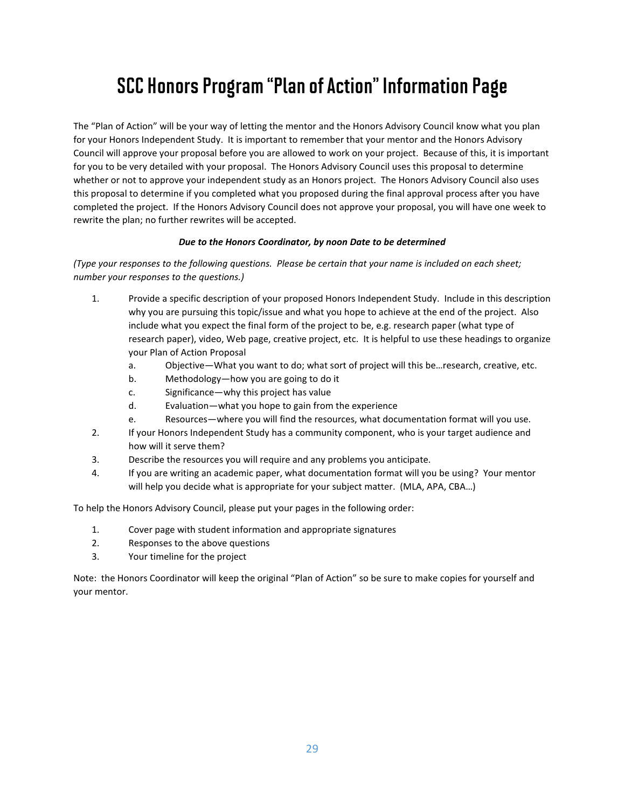# SCC Honors Program "Plan of Action" Information Page

The "Plan of Action" will be your way of letting the mentor and the Honors Advisory Council know what you plan for your Honors Independent Study. It is important to remember that your mentor and the Honors Advisory Council will approve your proposal before you are allowed to work on your project. Because of this, it is important for you to be very detailed with your proposal. The Honors Advisory Council uses this proposal to determine whether or not to approve your independent study as an Honors project. The Honors Advisory Council also uses this proposal to determine if you completed what you proposed during the final approval process after you have completed the project. If the Honors Advisory Council does not approve your proposal, you will have one week to rewrite the plan; no further rewrites will be accepted.

#### *Due to the Honors Coordinator, by noon Date to be determined*

*(Type your responses to the following questions. Please be certain that your name is included on each sheet; number your responses to the questions.)*

- 1. Provide a specific description of your proposed Honors Independent Study. Include in this description why you are pursuing this topic/issue and what you hope to achieve at the end of the project. Also include what you expect the final form of the project to be, e.g. research paper (what type of research paper), video, Web page, creative project, etc. It is helpful to use these headings to organize your Plan of Action Proposal
	- a. Objective—What you want to do; what sort of project will this be…research, creative, etc.
	- b. Methodology—how you are going to do it
	- c. Significance—why this project has value
	- d. Evaluation—what you hope to gain from the experience
	- e. Resources—where you will find the resources, what documentation format will you use.
- 2. If your Honors Independent Study has a community component, who is your target audience and how will it serve them?
- 3. Describe the resources you will require and any problems you anticipate.
- 4. If you are writing an academic paper, what documentation format will you be using? Your mentor will help you decide what is appropriate for your subject matter. (MLA, APA, CBA…)

To help the Honors Advisory Council, please put your pages in the following order:

- 1. Cover page with student information and appropriate signatures
- 2. Responses to the above questions
- 3. Your timeline for the project

Note: the Honors Coordinator will keep the original "Plan of Action" so be sure to make copies for yourself and your mentor.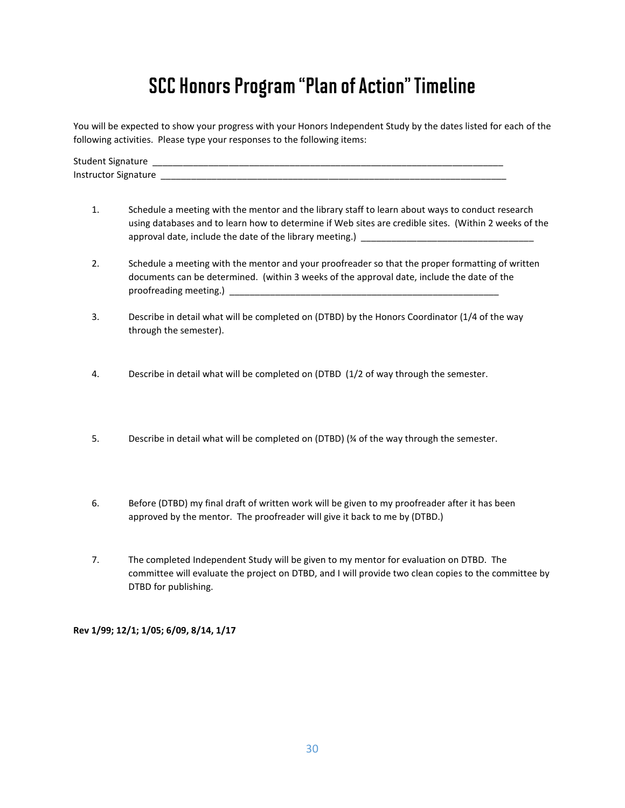# SCC Honors Program "Plan of Action" Timeline

You will be expected to show your progress with your Honors Independent Study by the dates listed for each of the following activities. Please type your responses to the following items:

Student Signature Instructor Signature \_\_\_\_\_\_\_\_\_\_\_\_\_\_\_\_\_\_\_\_\_\_\_\_\_\_\_\_\_\_\_\_\_\_\_\_\_\_\_\_\_\_\_\_\_\_\_\_\_\_\_\_\_\_\_\_\_\_\_\_\_\_\_\_\_\_\_\_

- 1. Schedule a meeting with the mentor and the library staff to learn about ways to conduct research using databases and to learn how to determine if Web sites are credible sites. (Within 2 weeks of the approval date, include the date of the library meeting.) \_
- 2. Schedule a meeting with the mentor and your proofreader so that the proper formatting of written documents can be determined. (within 3 weeks of the approval date, include the date of the proofreading meeting.) \_
- 3. Describe in detail what will be completed on (DTBD) by the Honors Coordinator (1/4 of the way through the semester).
- 4. Describe in detail what will be completed on (DTBD (1/2 of way through the semester.
- 5. Describe in detail what will be completed on (DTBD) (¾ of the way through the semester.
- 6. Before (DTBD) my final draft of written work will be given to my proofreader after it has been approved by the mentor. The proofreader will give it back to me by (DTBD.)
- 7. The completed Independent Study will be given to my mentor for evaluation on DTBD. The committee will evaluate the project on DTBD, and I will provide two clean copies to the committee by DTBD for publishing.

**Rev 1/99; 12/1; 1/05; 6/09, 8/14, 1/17**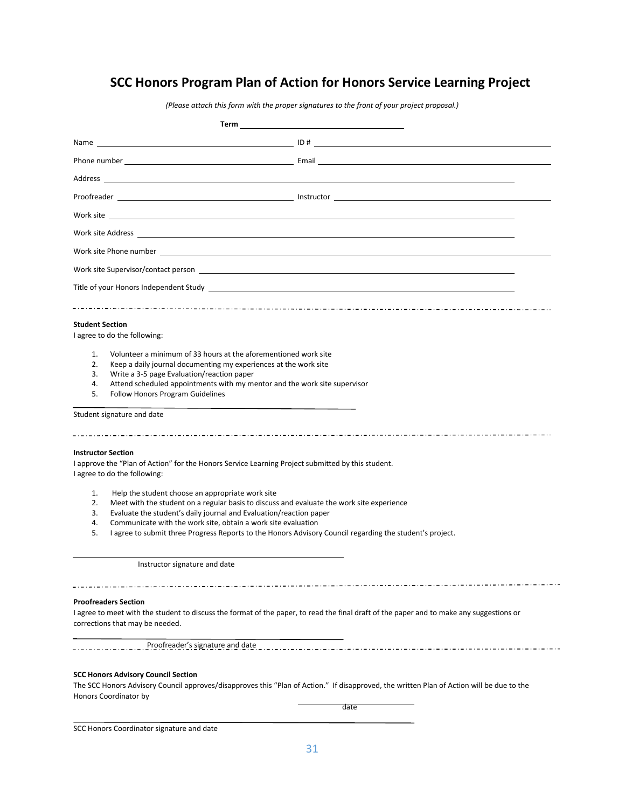### **SCC Honors Program Plan of Action for Honors Service Learning Project**

*(Please attach this form with the proper signatures to the front of your project proposal.)*

| Term                                                                                                                                                                                                                                                                                                                                                                                                                                                                                 |                                                                                                                                                   |
|--------------------------------------------------------------------------------------------------------------------------------------------------------------------------------------------------------------------------------------------------------------------------------------------------------------------------------------------------------------------------------------------------------------------------------------------------------------------------------------|---------------------------------------------------------------------------------------------------------------------------------------------------|
|                                                                                                                                                                                                                                                                                                                                                                                                                                                                                      | Name $\qquad \qquad$ $\Box$                                                                                                                       |
|                                                                                                                                                                                                                                                                                                                                                                                                                                                                                      |                                                                                                                                                   |
|                                                                                                                                                                                                                                                                                                                                                                                                                                                                                      |                                                                                                                                                   |
|                                                                                                                                                                                                                                                                                                                                                                                                                                                                                      |                                                                                                                                                   |
|                                                                                                                                                                                                                                                                                                                                                                                                                                                                                      |                                                                                                                                                   |
|                                                                                                                                                                                                                                                                                                                                                                                                                                                                                      |                                                                                                                                                   |
| Work site Phone number 2008 Communication of the Communication of the Communication of the Communication of the Communication of the Communication of the Communication of the Communication of the Communication of the Commu                                                                                                                                                                                                                                                       |                                                                                                                                                   |
| Work site Supervisor/contact person with a state of the state of the state of the state of the state of the state of the state of the state of the state of the state of the state of the state of the state of the state of t                                                                                                                                                                                                                                                       |                                                                                                                                                   |
|                                                                                                                                                                                                                                                                                                                                                                                                                                                                                      |                                                                                                                                                   |
| <b>Student Section</b><br>I agree to do the following:<br>Volunteer a minimum of 33 hours at the aforementioned work site<br>1.<br>2.<br>Keep a daily journal documenting my experiences at the work site<br>3.<br>Write a 3-5 page Evaluation/reaction paper<br>4.<br>Attend scheduled appointments with my mentor and the work site supervisor<br>5.<br><b>Follow Honors Program Guidelines</b>                                                                                    |                                                                                                                                                   |
| Student signature and date                                                                                                                                                                                                                                                                                                                                                                                                                                                           |                                                                                                                                                   |
| <b>Instructor Section</b><br>I approve the "Plan of Action" for the Honors Service Learning Project submitted by this student.<br>I agree to do the following:<br>1.<br>Help the student choose an appropriate work site<br>2.<br>Meet with the student on a regular basis to discuss and evaluate the work site experience<br>3.<br>Evaluate the student's daily journal and Evaluation/reaction paper<br>Communicate with the work site, obtain a work site evaluation<br>4.<br>5. | I agree to submit three Progress Reports to the Honors Advisory Council regarding the student's project.                                          |
| Instructor signature and date                                                                                                                                                                                                                                                                                                                                                                                                                                                        |                                                                                                                                                   |
| <b>Proofreaders Section</b><br>corrections that may be needed.                                                                                                                                                                                                                                                                                                                                                                                                                       | I agree to meet with the student to discuss the format of the paper, to read the final draft of the paper and to make any suggestions or          |
| <b>SCC Honors Advisory Council Section</b><br>Honors Coordinator by                                                                                                                                                                                                                                                                                                                                                                                                                  | The SCC Honors Advisory Council approves/disapproves this "Plan of Action." If disapproved, the written Plan of Action will be due to the<br>date |

SCC Honors Coordinator signature and date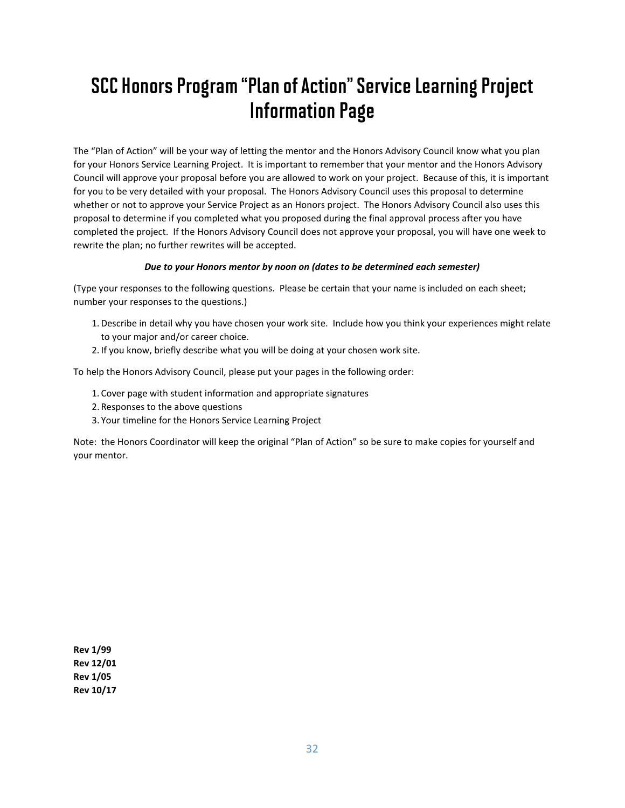# SCC Honors Program "Plan of Action" Service Learning Project Information Page

The "Plan of Action" will be your way of letting the mentor and the Honors Advisory Council know what you plan for your Honors Service Learning Project. It is important to remember that your mentor and the Honors Advisory Council will approve your proposal before you are allowed to work on your project. Because of this, it is important for you to be very detailed with your proposal. The Honors Advisory Council uses this proposal to determine whether or not to approve your Service Project as an Honors project. The Honors Advisory Council also uses this proposal to determine if you completed what you proposed during the final approval process after you have completed the project. If the Honors Advisory Council does not approve your proposal, you will have one week to rewrite the plan; no further rewrites will be accepted.

#### *Due to your Honors mentor by noon on (dates to be determined each semester)*

(Type your responses to the following questions. Please be certain that your name is included on each sheet; number your responses to the questions.)

- 1.Describe in detail why you have chosen your work site. Include how you think your experiences might relate to your major and/or career choice.
- 2. If you know, briefly describe what you will be doing at your chosen work site.

To help the Honors Advisory Council, please put your pages in the following order:

- 1. Cover page with student information and appropriate signatures
- 2. Responses to the above questions
- 3. Your timeline for the Honors Service Learning Project

Note: the Honors Coordinator will keep the original "Plan of Action" so be sure to make copies for yourself and your mentor.

**Rev 1/99 Rev 12/01 Rev 1/05 Rev 10/17**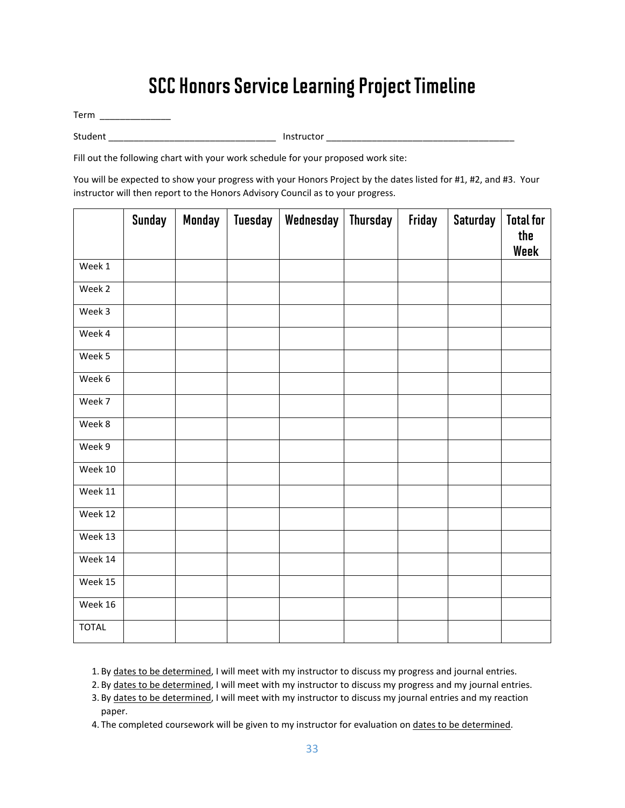## SCC Honors Service Learning Project Timeline

Term \_\_\_\_\_\_\_\_\_\_\_\_\_\_

Student \_\_\_\_\_\_\_\_\_\_\_\_\_\_\_\_\_\_\_\_\_\_\_\_\_\_\_\_\_\_\_\_\_ Instructor \_\_\_\_\_\_\_\_\_\_\_\_\_\_\_\_\_\_\_\_\_\_\_\_\_\_\_\_\_\_\_\_\_\_\_\_\_

Fill out the following chart with your work schedule for your proposed work site:

You will be expected to show your progress with your Honors Project by the dates listed for #1, #2, and #3. Your instructor will then report to the Honors Advisory Council as to your progress.

|              | <b>Sunday</b> | <b>Monday</b> | <b>Tuesday</b> | Wednesday | <b>Thursday</b> | Friday | <b>Saturday</b> | <b>Total for</b><br>the<br>Week |
|--------------|---------------|---------------|----------------|-----------|-----------------|--------|-----------------|---------------------------------|
| Week 1       |               |               |                |           |                 |        |                 |                                 |
| Week 2       |               |               |                |           |                 |        |                 |                                 |
| Week 3       |               |               |                |           |                 |        |                 |                                 |
| Week 4       |               |               |                |           |                 |        |                 |                                 |
| Week 5       |               |               |                |           |                 |        |                 |                                 |
| Week 6       |               |               |                |           |                 |        |                 |                                 |
| Week 7       |               |               |                |           |                 |        |                 |                                 |
| Week 8       |               |               |                |           |                 |        |                 |                                 |
| Week 9       |               |               |                |           |                 |        |                 |                                 |
| Week 10      |               |               |                |           |                 |        |                 |                                 |
| Week 11      |               |               |                |           |                 |        |                 |                                 |
| Week 12      |               |               |                |           |                 |        |                 |                                 |
| Week 13      |               |               |                |           |                 |        |                 |                                 |
| Week 14      |               |               |                |           |                 |        |                 |                                 |
| Week 15      |               |               |                |           |                 |        |                 |                                 |
| Week 16      |               |               |                |           |                 |        |                 |                                 |
| <b>TOTAL</b> |               |               |                |           |                 |        |                 |                                 |

1. By dates to be determined, I will meet with my instructor to discuss my progress and journal entries.

2. By dates to be determined, I will meet with my instructor to discuss my progress and my journal entries.

3. By dates to be determined, I will meet with my instructor to discuss my journal entries and my reaction paper.

4. The completed coursework will be given to my instructor for evaluation on dates to be determined.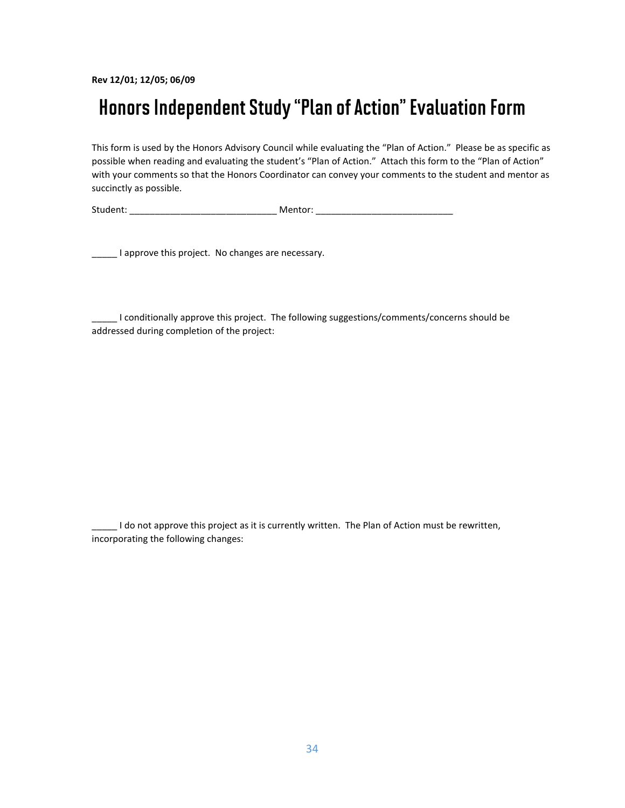**Rev 12/01; 12/05; 06/09**

### Honors Independent Study "Plan of Action" Evaluation Form

This form is used by the Honors Advisory Council while evaluating the "Plan of Action." Please be as specific as possible when reading and evaluating the student's "Plan of Action." Attach this form to the "Plan of Action" with your comments so that the Honors Coordinator can convey your comments to the student and mentor as succinctly as possible.

Student: The contract of the Mentor:  $\blacksquare$  Mentor:  $\blacksquare$ 

**\_\_\_\_\_** I approve this project. No changes are necessary.

\_\_\_\_\_ I conditionally approve this project. The following suggestions/comments/concerns should be addressed during completion of the project:

\_\_\_\_\_ I do not approve this project as it is currently written. The Plan of Action must be rewritten, incorporating the following changes: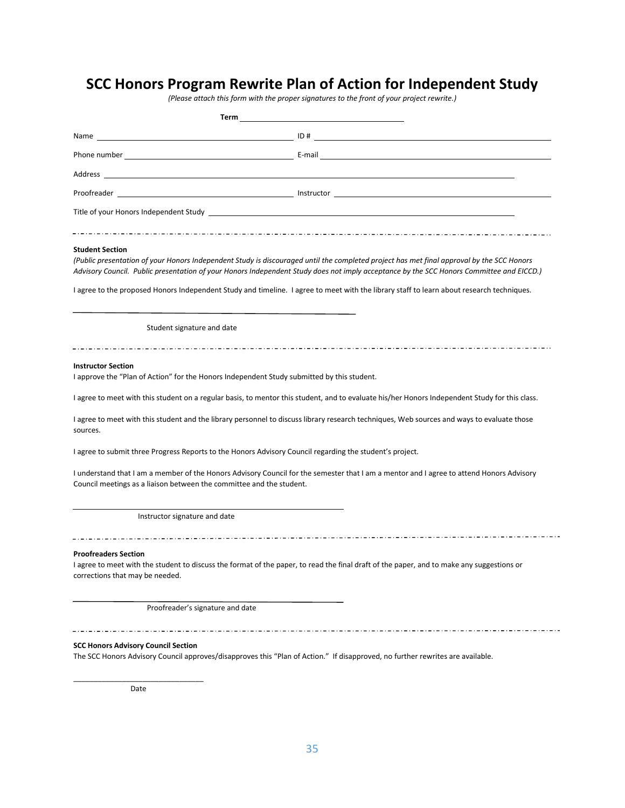### **SCC Honors Program Rewrite Plan of Action for Independent Study**

*(Please attach this form with the proper signatures to the front of your project rewrite.)*

| <b>Student Section</b> |  |  |  |  |
|------------------------|--|--|--|--|

*(Public presentation of your Honors Independent Study is discouraged until the completed project has met final approval by the SCC Honors Advisory Council. Public presentation of your Honors Independent Study does not imply acceptance by the SCC Honors Committee and EICCD.)*

I agree to the proposed Honors Independent Study and timeline. I agree to meet with the library staff to learn about research techniques.

Student signature and date

#### **Instructor Section**

I approve the "Plan of Action" for the Honors Independent Study submitted by this student.

I agree to meet with this student on a regular basis, to mentor this student, and to evaluate his/her Honors Independent Study for this class.

I agree to meet with this student and the library personnel to discuss library research techniques, Web sources and ways to evaluate those sources.

I agree to submit three Progress Reports to the Honors Advisory Council regarding the student's project.

I understand that I am a member of the Honors Advisory Council for the semester that I am a mentor and I agree to attend Honors Advisory Council meetings as a liaison between the committee and the student.

Instructor signature and date

#### **Proofreaders Section**

I agree to meet with the student to discuss the format of the paper, to read the final draft of the paper, and to make any suggestions or corrections that may be needed.

Proofreader's signature and date

**SCC Honors Advisory Council Section**

The SCC Honors Advisory Council approves/disapproves this "Plan of Action." If disapproved, no further rewrites are available.

\_\_\_\_\_\_\_\_\_\_\_\_\_\_\_\_\_\_\_\_\_\_\_\_\_\_\_\_\_\_\_\_ Date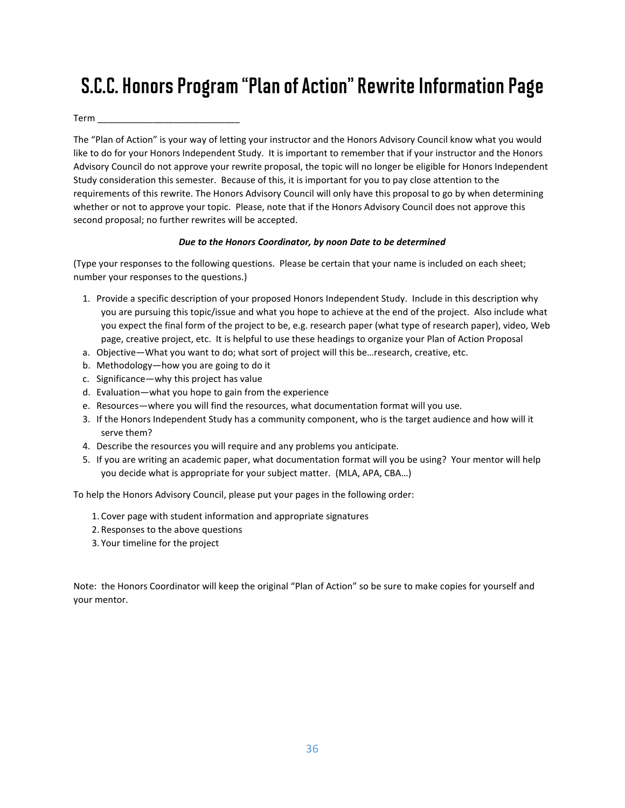# S.C.C. Honors Program "Plan of Action" Rewrite Information Page

 $Term$   $\_$ 

The "Plan of Action" is your way of letting your instructor and the Honors Advisory Council know what you would like to do for your Honors Independent Study. It is important to remember that if your instructor and the Honors Advisory Council do not approve your rewrite proposal, the topic will no longer be eligible for Honors Independent Study consideration this semester. Because of this, it is important for you to pay close attention to the requirements of this rewrite. The Honors Advisory Council will only have this proposal to go by when determining whether or not to approve your topic. Please, note that if the Honors Advisory Council does not approve this second proposal; no further rewrites will be accepted.

#### *Due to the Honors Coordinator, by noon Date to be determined*

(Type your responses to the following questions. Please be certain that your name is included on each sheet; number your responses to the questions.)

- 1. Provide a specific description of your proposed Honors Independent Study. Include in this description why you are pursuing this topic/issue and what you hope to achieve at the end of the project. Also include what you expect the final form of the project to be, e.g. research paper (what type of research paper), video, Web page, creative project, etc. It is helpful to use these headings to organize your Plan of Action Proposal
- a. Objective—What you want to do; what sort of project will this be…research, creative, etc.
- b. Methodology—how you are going to do it
- c. Significance—why this project has value
- d. Evaluation—what you hope to gain from the experience
- e. Resources—where you will find the resources, what documentation format will you use.
- 3. If the Honors Independent Study has a community component, who is the target audience and how will it serve them?
- 4. Describe the resources you will require and any problems you anticipate.
- 5. If you are writing an academic paper, what documentation format will you be using? Your mentor will help you decide what is appropriate for your subject matter. (MLA, APA, CBA…)

To help the Honors Advisory Council, please put your pages in the following order:

- 1. Cover page with student information and appropriate signatures
- 2. Responses to the above questions
- 3. Your timeline for the project

Note: the Honors Coordinator will keep the original "Plan of Action" so be sure to make copies for yourself and your mentor.